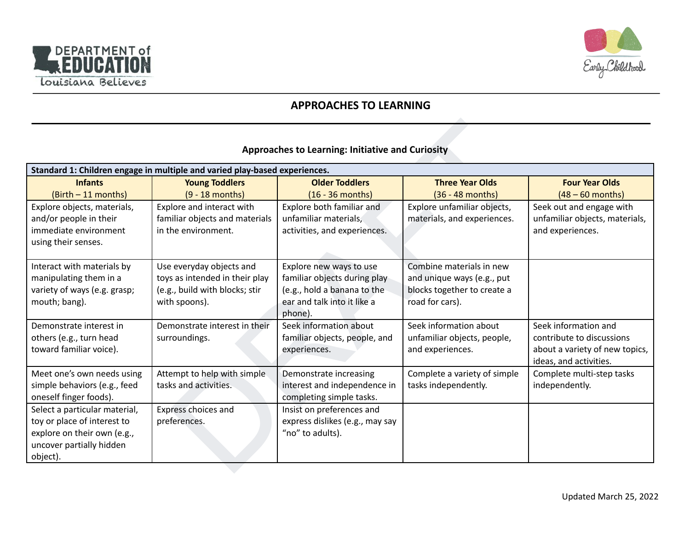



# **APPROACHES TO LEARNING**

### **Approaches to Learning: Initiative and Curiosity**

| <b>Approaches to Learning: Initiative and Curiosity</b>                                                                             |                                                                                                               |                                                                                                                                  |                                                                                                          |                                                                                                               |
|-------------------------------------------------------------------------------------------------------------------------------------|---------------------------------------------------------------------------------------------------------------|----------------------------------------------------------------------------------------------------------------------------------|----------------------------------------------------------------------------------------------------------|---------------------------------------------------------------------------------------------------------------|
|                                                                                                                                     | Standard 1: Children engage in multiple and varied play-based experiences.                                    |                                                                                                                                  |                                                                                                          |                                                                                                               |
| <b>Infants</b><br>(Birth - 11 months)                                                                                               | <b>Young Toddlers</b><br>$(9 - 18$ months)                                                                    | <b>Older Toddlers</b><br>$(16 - 36$ months)                                                                                      | <b>Three Year Olds</b><br>$(36 - 48$ months)                                                             | <b>Four Year Olds</b><br>$(48 - 60$ months)                                                                   |
| Explore objects, materials,<br>and/or people in their<br>immediate environment<br>using their senses.                               | Explore and interact with<br>familiar objects and materials<br>in the environment.                            | Explore both familiar and<br>unfamiliar materials,<br>activities, and experiences.                                               | Explore unfamiliar objects,<br>materials, and experiences.                                               | Seek out and engage with<br>unfamiliar objects, materials,<br>and experiences.                                |
| Interact with materials by<br>manipulating them in a<br>variety of ways (e.g. grasp;<br>mouth; bang).                               | Use everyday objects and<br>toys as intended in their play<br>(e.g., build with blocks; stir<br>with spoons). | Explore new ways to use<br>familiar objects during play<br>(e.g., hold a banana to the<br>ear and talk into it like a<br>phone). | Combine materials in new<br>and unique ways (e.g., put<br>blocks together to create a<br>road for cars). |                                                                                                               |
| Demonstrate interest in<br>others (e.g., turn head<br>toward familiar voice).                                                       | Demonstrate interest in their<br>surroundings.                                                                | Seek information about<br>familiar objects, people, and<br>experiences.                                                          | Seek information about<br>unfamiliar objects, people,<br>and experiences.                                | Seek information and<br>contribute to discussions<br>about a variety of new topics,<br>ideas, and activities. |
| Meet one's own needs using<br>simple behaviors (e.g., feed<br>oneself finger foods).                                                | Attempt to help with simple<br>tasks and activities.                                                          | Demonstrate increasing<br>interest and independence in<br>completing simple tasks.                                               | Complete a variety of simple<br>tasks independently.                                                     | Complete multi-step tasks<br>independently.                                                                   |
| Select a particular material,<br>toy or place of interest to<br>explore on their own (e.g.,<br>uncover partially hidden<br>object). | Express choices and<br>preferences.                                                                           | Insist on preferences and<br>express dislikes (e.g., may say<br>"no" to adults).                                                 |                                                                                                          |                                                                                                               |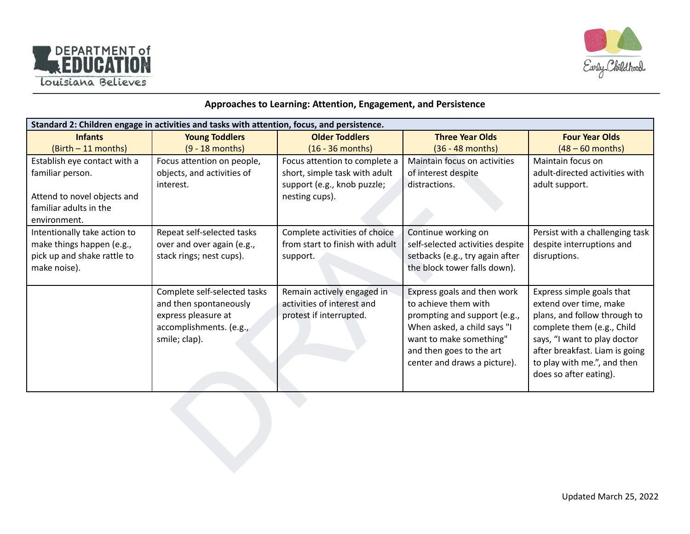



## **Approaches to Learning: Attention, Engagement, and Persistence**

| Standard 2: Children engage in activities and tasks with attention, focus, and persistence. |                                                        |                                                          |                                                     |                                                     |  |
|---------------------------------------------------------------------------------------------|--------------------------------------------------------|----------------------------------------------------------|-----------------------------------------------------|-----------------------------------------------------|--|
| <b>Infants</b>                                                                              | <b>Young Toddlers</b>                                  | <b>Older Toddlers</b>                                    | <b>Three Year Olds</b>                              | <b>Four Year Olds</b>                               |  |
| (Birth - 11 months)                                                                         | $(9 - 18$ months)                                      | $(16 - 36$ months)                                       | (36 - 48 months)                                    | $(48 - 60$ months)                                  |  |
| Establish eye contact with a                                                                | Focus attention on people,                             | Focus attention to complete a                            | Maintain focus on activities                        | Maintain focus on                                   |  |
| familiar person.                                                                            | objects, and activities of                             | short, simple task with adult                            | of interest despite                                 | adult-directed activities with                      |  |
|                                                                                             | interest.                                              | support (e.g., knob puzzle;                              | distractions.                                       | adult support.                                      |  |
| Attend to novel objects and                                                                 |                                                        | nesting cups).                                           |                                                     |                                                     |  |
| familiar adults in the                                                                      |                                                        |                                                          |                                                     |                                                     |  |
| environment.                                                                                |                                                        |                                                          |                                                     |                                                     |  |
| Intentionally take action to                                                                | Repeat self-selected tasks                             | Complete activities of choice                            | Continue working on                                 | Persist with a challenging task                     |  |
| make things happen (e.g.,                                                                   | over and over again (e.g.,                             | from start to finish with adult                          | self-selected activities despite                    | despite interruptions and                           |  |
| pick up and shake rattle to                                                                 | stack rings; nest cups).                               | support.                                                 | setbacks (e.g., try again after                     | disruptions.                                        |  |
| make noise).                                                                                |                                                        |                                                          | the block tower falls down).                        |                                                     |  |
|                                                                                             |                                                        |                                                          |                                                     |                                                     |  |
|                                                                                             | Complete self-selected tasks<br>and then spontaneously | Remain actively engaged in<br>activities of interest and | Express goals and then work<br>to achieve them with | Express simple goals that<br>extend over time, make |  |
|                                                                                             | express pleasure at                                    | protest if interrupted.                                  | prompting and support (e.g.,                        | plans, and follow through to                        |  |
|                                                                                             | accomplishments. (e.g.,                                |                                                          | When asked, a child says "I                         | complete them (e.g., Child                          |  |
|                                                                                             | smile; clap).                                          |                                                          | want to make something"                             | says, "I want to play doctor                        |  |
|                                                                                             |                                                        |                                                          | and then goes to the art                            | after breakfast. Liam is going                      |  |
|                                                                                             |                                                        |                                                          | center and draws a picture).                        | to play with me.", and then                         |  |
|                                                                                             |                                                        |                                                          |                                                     | does so after eating).                              |  |
|                                                                                             |                                                        |                                                          |                                                     |                                                     |  |
|                                                                                             |                                                        |                                                          |                                                     |                                                     |  |
|                                                                                             |                                                        |                                                          |                                                     |                                                     |  |
|                                                                                             |                                                        |                                                          |                                                     |                                                     |  |
|                                                                                             |                                                        |                                                          |                                                     |                                                     |  |
|                                                                                             |                                                        |                                                          |                                                     |                                                     |  |
|                                                                                             |                                                        |                                                          |                                                     |                                                     |  |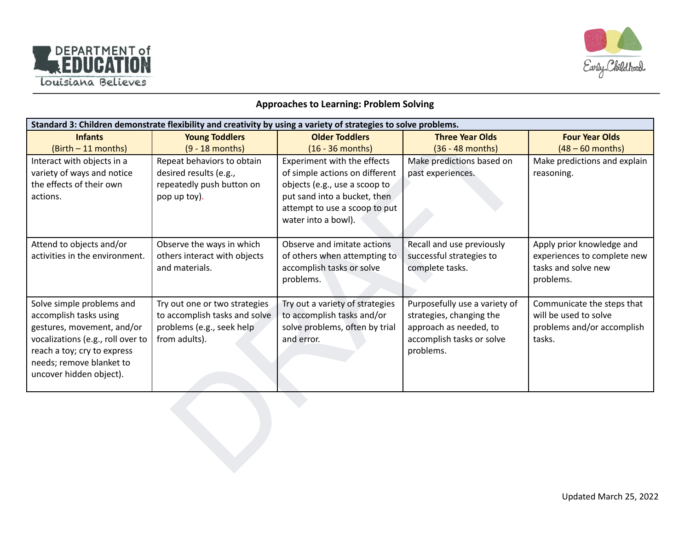



### **Approaches to Learning: Problem Solving**

|                                                      | Standard 3: Children demonstrate flexibility and creativity by using a variety of strategies to solve problems. |                                                               |                                                    |                                                     |  |
|------------------------------------------------------|-----------------------------------------------------------------------------------------------------------------|---------------------------------------------------------------|----------------------------------------------------|-----------------------------------------------------|--|
| <b>Infants</b>                                       | <b>Young Toddlers</b>                                                                                           | <b>Older Toddlers</b>                                         | <b>Three Year Olds</b>                             | <b>Four Year Olds</b>                               |  |
| (Birth - 11 months)                                  | $(9 - 18$ months)                                                                                               | $(16 - 36$ months)                                            | (36 - 48 months)                                   | $(48 - 60$ months)                                  |  |
| Interact with objects in a                           | Repeat behaviors to obtain                                                                                      | Experiment with the effects                                   | Make predictions based on                          | Make predictions and explain                        |  |
| variety of ways and notice                           | desired results (e.g.,                                                                                          | of simple actions on different                                | past experiences.                                  | reasoning.                                          |  |
| the effects of their own                             | repeatedly push button on                                                                                       | objects (e.g., use a scoop to                                 |                                                    |                                                     |  |
| actions.                                             | pop up toy).                                                                                                    | put sand into a bucket, then                                  |                                                    |                                                     |  |
|                                                      |                                                                                                                 | attempt to use a scoop to put                                 |                                                    |                                                     |  |
|                                                      |                                                                                                                 | water into a bowl).                                           |                                                    |                                                     |  |
|                                                      |                                                                                                                 |                                                               |                                                    |                                                     |  |
| Attend to objects and/or                             | Observe the ways in which                                                                                       | Observe and imitate actions                                   | Recall and use previously                          | Apply prior knowledge and                           |  |
| activities in the environment.                       | others interact with objects                                                                                    | of others when attempting to                                  | successful strategies to                           | experiences to complete new                         |  |
|                                                      | and materials.                                                                                                  | accomplish tasks or solve                                     | complete tasks.                                    | tasks and solve new                                 |  |
|                                                      |                                                                                                                 | problems.                                                     |                                                    | problems.                                           |  |
|                                                      |                                                                                                                 |                                                               |                                                    |                                                     |  |
| Solve simple problems and                            | Try out one or two strategies<br>to accomplish tasks and solve                                                  | Try out a variety of strategies<br>to accomplish tasks and/or | Purposefully use a variety of                      | Communicate the steps that<br>will be used to solve |  |
| accomplish tasks using<br>gestures, movement, and/or | problems (e.g., seek help                                                                                       | solve problems, often by trial                                | strategies, changing the<br>approach as needed, to | problems and/or accomplish                          |  |
| vocalizations (e.g., roll over to                    | from adults).                                                                                                   | and error.                                                    | accomplish tasks or solve                          | tasks.                                              |  |
| reach a toy; cry to express                          |                                                                                                                 |                                                               | problems.                                          |                                                     |  |
| needs; remove blanket to                             |                                                                                                                 |                                                               |                                                    |                                                     |  |
| uncover hidden object).                              |                                                                                                                 |                                                               |                                                    |                                                     |  |
|                                                      |                                                                                                                 |                                                               |                                                    |                                                     |  |
|                                                      |                                                                                                                 |                                                               |                                                    |                                                     |  |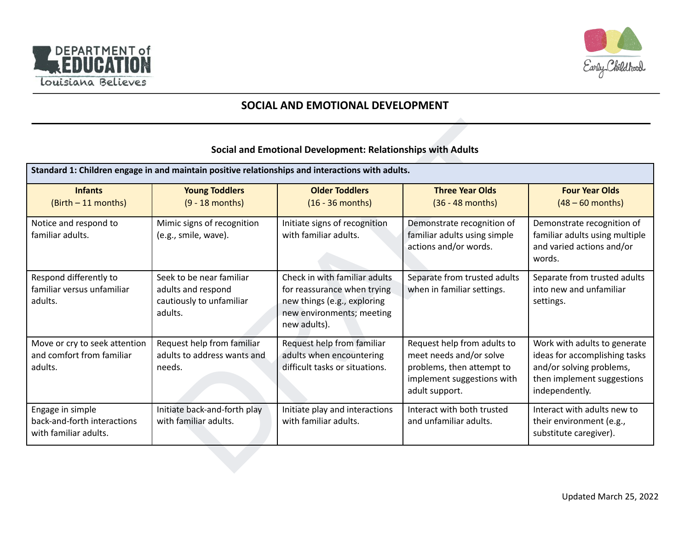



# **SOCIAL AND EMOTIONAL DEVELOPMENT**

#### **Social and Emotional Development: Relationships with Adults**

|                                                                          |                                                                                       | Standard 1: Children engage in and maintain positive relationships and interactions with adults.                                         |                                                                                                                                     |                                                                                                                                           |
|--------------------------------------------------------------------------|---------------------------------------------------------------------------------------|------------------------------------------------------------------------------------------------------------------------------------------|-------------------------------------------------------------------------------------------------------------------------------------|-------------------------------------------------------------------------------------------------------------------------------------------|
| <b>Infants</b><br>$(Birth - 11 months)$                                  | <b>Young Toddlers</b><br>$(9 - 18$ months)                                            | <b>Older Toddlers</b><br>$(16 - 36$ months)                                                                                              | <b>Three Year Olds</b><br>$(36 - 48$ months)                                                                                        | <b>Four Year Olds</b><br>$(48 - 60$ months)                                                                                               |
| Notice and respond to<br>familiar adults.                                | Mimic signs of recognition<br>(e.g., smile, wave).                                    | Initiate signs of recognition<br>with familiar adults.                                                                                   | Demonstrate recognition of<br>familiar adults using simple<br>actions and/or words.                                                 | Demonstrate recognition of<br>familiar adults using multiple<br>and varied actions and/or<br>words.                                       |
| Respond differently to<br>familiar versus unfamiliar<br>adults.          | Seek to be near familiar<br>adults and respond<br>cautiously to unfamiliar<br>adults. | Check in with familiar adults<br>for reassurance when trying<br>new things (e.g., exploring<br>new environments; meeting<br>new adults). | Separate from trusted adults<br>when in familiar settings.                                                                          | Separate from trusted adults<br>into new and unfamiliar<br>settings.                                                                      |
| Move or cry to seek attention<br>and comfort from familiar<br>adults.    | Request help from familiar<br>adults to address wants and<br>needs.                   | Request help from familiar<br>adults when encountering<br>difficult tasks or situations.                                                 | Request help from adults to<br>meet needs and/or solve<br>problems, then attempt to<br>implement suggestions with<br>adult support. | Work with adults to generate<br>ideas for accomplishing tasks<br>and/or solving problems,<br>then implement suggestions<br>independently. |
| Engage in simple<br>back-and-forth interactions<br>with familiar adults. | Initiate back-and-forth play<br>with familiar adults.                                 | Initiate play and interactions<br>with familiar adults.                                                                                  | Interact with both trusted<br>and unfamiliar adults.                                                                                | Interact with adults new to<br>their environment (e.g.,<br>substitute caregiver).                                                         |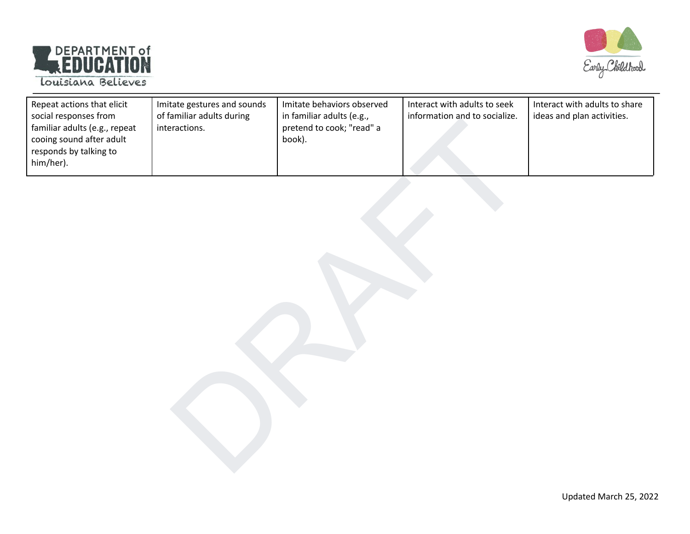



| Repeat actions that elicit<br>social responses from<br>familiar adults (e.g., repeat<br>cooing sound after adult<br>responds by talking to<br>him/her). | Imitate gestures and sounds<br>of familiar adults during<br>interactions. | Imitate behaviors observed<br>in familiar adults (e.g.,<br>pretend to cook; "read" a<br>book). | Interact with adults to seek<br>information and to socialize. | Interact with adults to share<br>ideas and plan activities. |
|---------------------------------------------------------------------------------------------------------------------------------------------------------|---------------------------------------------------------------------------|------------------------------------------------------------------------------------------------|---------------------------------------------------------------|-------------------------------------------------------------|
|                                                                                                                                                         |                                                                           |                                                                                                |                                                               |                                                             |
|                                                                                                                                                         |                                                                           |                                                                                                |                                                               |                                                             |
|                                                                                                                                                         |                                                                           |                                                                                                |                                                               |                                                             |
|                                                                                                                                                         |                                                                           |                                                                                                |                                                               |                                                             |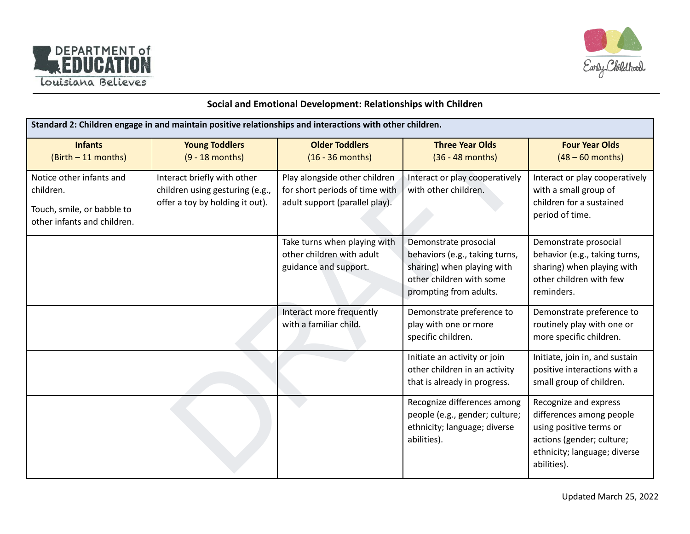



# **Social and Emotional Development: Relationships with Children**

| Standard 2: Children engage in and maintain positive relationships and interactions with other children. |                                                                                                   |                                                                                                   |                                                                                                                                             |                                                                                                                                                          |
|----------------------------------------------------------------------------------------------------------|---------------------------------------------------------------------------------------------------|---------------------------------------------------------------------------------------------------|---------------------------------------------------------------------------------------------------------------------------------------------|----------------------------------------------------------------------------------------------------------------------------------------------------------|
| <b>Infants</b><br>(Birth - 11 months)                                                                    | <b>Young Toddlers</b><br>$(9 - 18$ months)                                                        | <b>Older Toddlers</b><br>$(16 - 36$ months)                                                       | <b>Three Year Olds</b><br>$(36 - 48$ months)                                                                                                | <b>Four Year Olds</b><br>$(48 - 60$ months)                                                                                                              |
| Notice other infants and<br>children.<br>Touch, smile, or babble to<br>other infants and children.       | Interact briefly with other<br>children using gesturing (e.g.,<br>offer a toy by holding it out). | Play alongside other children<br>for short periods of time with<br>adult support (parallel play). | Interact or play cooperatively<br>with other children.                                                                                      | Interact or play cooperatively<br>with a small group of<br>children for a sustained<br>period of time.                                                   |
|                                                                                                          |                                                                                                   | Take turns when playing with<br>other children with adult<br>guidance and support.                | Demonstrate prosocial<br>behaviors (e.g., taking turns,<br>sharing) when playing with<br>other children with some<br>prompting from adults. | Demonstrate prosocial<br>behavior (e.g., taking turns,<br>sharing) when playing with<br>other children with few<br>reminders.                            |
|                                                                                                          |                                                                                                   | Interact more frequently<br>with a familiar child.                                                | Demonstrate preference to<br>play with one or more<br>specific children.                                                                    | Demonstrate preference to<br>routinely play with one or<br>more specific children.                                                                       |
|                                                                                                          |                                                                                                   |                                                                                                   | Initiate an activity or join<br>other children in an activity<br>that is already in progress.                                               | Initiate, join in, and sustain<br>positive interactions with a<br>small group of children.                                                               |
|                                                                                                          |                                                                                                   |                                                                                                   | Recognize differences among<br>people (e.g., gender; culture;<br>ethnicity; language; diverse<br>abilities).                                | Recognize and express<br>differences among people<br>using positive terms or<br>actions (gender; culture;<br>ethnicity; language; diverse<br>abilities). |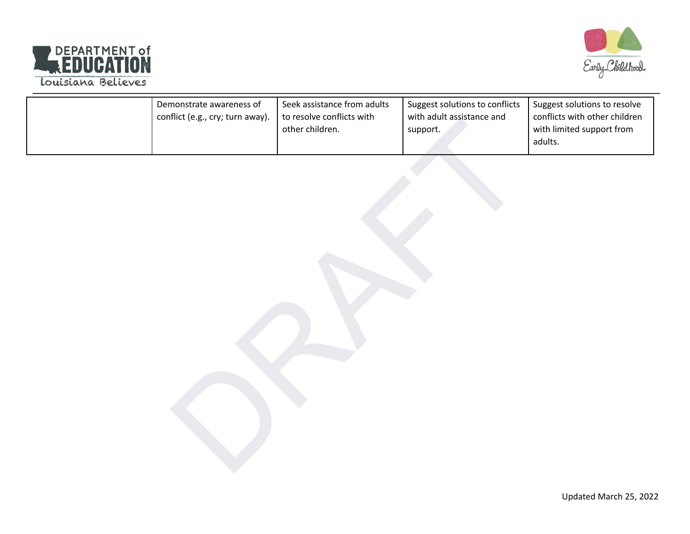



| Demonstrate awareness of<br>conflict (e.g., cry; turn away). | Seek assistance from adults<br>to resolve conflicts with<br>other children. | Suggest solutions to conflicts<br>with adult assistance and<br>support. | Suggest solutions to resolve<br>conflicts with other children<br>with limited support from<br>adults. |
|--------------------------------------------------------------|-----------------------------------------------------------------------------|-------------------------------------------------------------------------|-------------------------------------------------------------------------------------------------------|
|                                                              |                                                                             |                                                                         |                                                                                                       |
|                                                              |                                                                             |                                                                         |                                                                                                       |
|                                                              |                                                                             |                                                                         |                                                                                                       |
|                                                              |                                                                             |                                                                         |                                                                                                       |
|                                                              |                                                                             |                                                                         |                                                                                                       |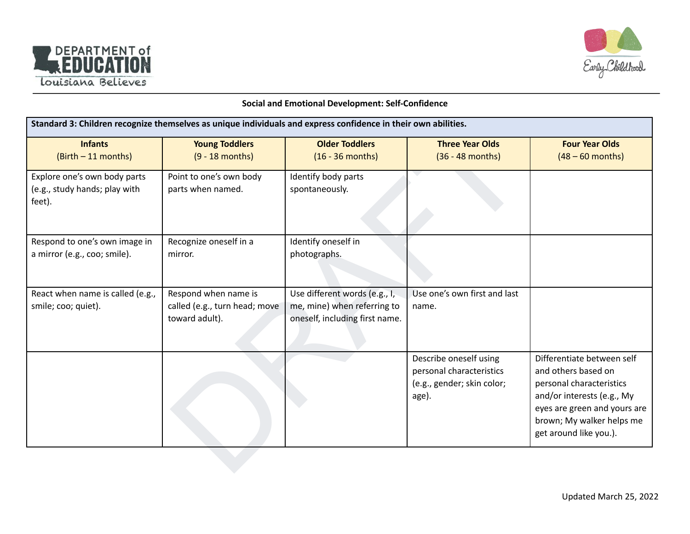



#### **Social and Emotional Development: Self-Confidence**

| Standard 3: Children recognize themselves as unique individuals and express confidence in their own abilities. |                                                                         |                                                                                                |                                                                                           |                                                                                                                                                                                                    |
|----------------------------------------------------------------------------------------------------------------|-------------------------------------------------------------------------|------------------------------------------------------------------------------------------------|-------------------------------------------------------------------------------------------|----------------------------------------------------------------------------------------------------------------------------------------------------------------------------------------------------|
| <b>Infants</b><br>(Birth - 11 months)                                                                          | <b>Young Toddlers</b><br>$(9 - 18$ months)                              | <b>Older Toddlers</b><br>$(16 - 36$ months)                                                    | <b>Three Year Olds</b><br>$(36 - 48$ months)                                              | <b>Four Year Olds</b><br>$(48 - 60$ months)                                                                                                                                                        |
| Explore one's own body parts<br>(e.g., study hands; play with<br>feet).                                        | Point to one's own body<br>parts when named.                            | Identify body parts<br>spontaneously.                                                          |                                                                                           |                                                                                                                                                                                                    |
| Respond to one's own image in<br>a mirror (e.g., coo; smile).                                                  | Recognize oneself in a<br>mirror.                                       | Identify oneself in<br>photographs.                                                            |                                                                                           |                                                                                                                                                                                                    |
| React when name is called (e.g.,<br>smile; coo; quiet).                                                        | Respond when name is<br>called (e.g., turn head; move<br>toward adult). | Use different words (e.g., I,<br>me, mine) when referring to<br>oneself, including first name. | Use one's own first and last<br>name.                                                     |                                                                                                                                                                                                    |
|                                                                                                                |                                                                         |                                                                                                | Describe oneself using<br>personal characteristics<br>(e.g., gender; skin color;<br>age). | Differentiate between self<br>and others based on<br>personal characteristics<br>and/or interests (e.g., My<br>eyes are green and yours are<br>brown; My walker helps me<br>get around like you.). |
|                                                                                                                |                                                                         |                                                                                                |                                                                                           |                                                                                                                                                                                                    |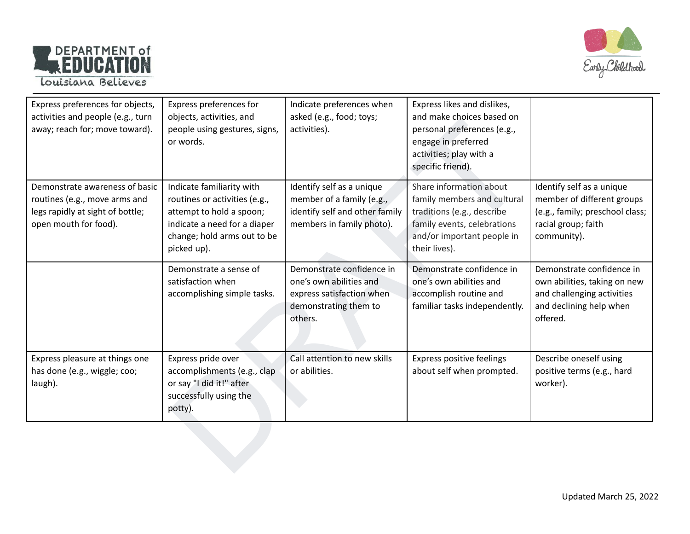



| Express preferences for objects,<br>activities and people (e.g., turn<br>away; reach for; move toward).                      | Express preferences for<br>objects, activities, and<br>people using gestures, signs,<br>or words.                                                                    | Indicate preferences when<br>asked (e.g., food; toys;<br>activities).                                                 | Express likes and dislikes,<br>and make choices based on<br>personal preferences (e.g.,<br>engage in preferred<br>activities; play with a<br>specific friend).     |                                                                                                                                  |
|------------------------------------------------------------------------------------------------------------------------------|----------------------------------------------------------------------------------------------------------------------------------------------------------------------|-----------------------------------------------------------------------------------------------------------------------|--------------------------------------------------------------------------------------------------------------------------------------------------------------------|----------------------------------------------------------------------------------------------------------------------------------|
| Demonstrate awareness of basic<br>routines (e.g., move arms and<br>legs rapidly at sight of bottle;<br>open mouth for food). | Indicate familiarity with<br>routines or activities (e.g.,<br>attempt to hold a spoon;<br>indicate a need for a diaper<br>change; hold arms out to be<br>picked up). | Identify self as a unique<br>member of a family (e.g.,<br>identify self and other family<br>members in family photo). | Share information about<br>family members and cultural<br>traditions (e.g., describe<br>family events, celebrations<br>and/or important people in<br>their lives). | Identify self as a unique<br>member of different groups<br>(e.g., family; preschool class;<br>racial group; faith<br>community). |
|                                                                                                                              | Demonstrate a sense of<br>satisfaction when<br>accomplishing simple tasks.                                                                                           | Demonstrate confidence in<br>one's own abilities and<br>express satisfaction when<br>demonstrating them to<br>others. | Demonstrate confidence in<br>one's own abilities and<br>accomplish routine and<br>familiar tasks independently.                                                    | Demonstrate confidence in<br>own abilities, taking on new<br>and challenging activities<br>and declining help when<br>offered.   |
| Express pleasure at things one<br>has done (e.g., wiggle; coo;<br>laugh).                                                    | Express pride over<br>accomplishments (e.g., clap<br>or say "I did it!" after<br>successfully using the<br>potty).                                                   | Call attention to new skills<br>or abilities.                                                                         | Express positive feelings<br>about self when prompted.                                                                                                             | Describe oneself using<br>positive terms (e.g., hard<br>worker).                                                                 |
|                                                                                                                              |                                                                                                                                                                      |                                                                                                                       |                                                                                                                                                                    |                                                                                                                                  |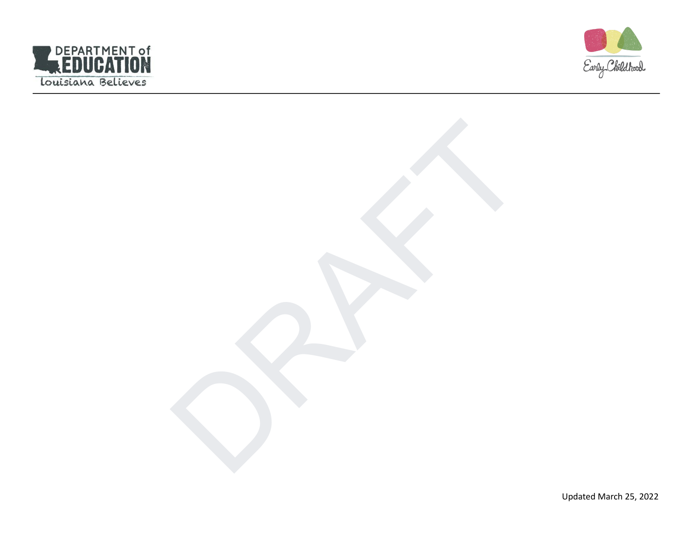



Updated March 25, 2022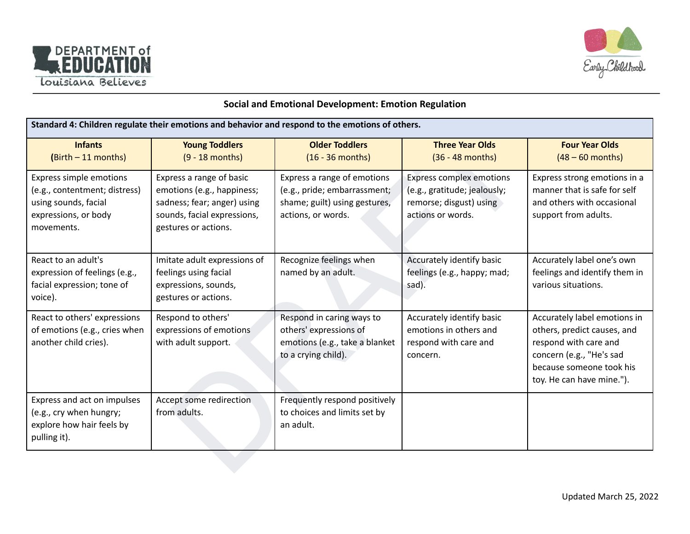



### **Social and Emotional Development: Emotion Regulation**

| Standard 4: Children regulate their emotions and behavior and respond to the emotions of others.                       |                                                                                                                                              |                                                                                                                    |                                                                                                                 |                                                                                                                                                                           |
|------------------------------------------------------------------------------------------------------------------------|----------------------------------------------------------------------------------------------------------------------------------------------|--------------------------------------------------------------------------------------------------------------------|-----------------------------------------------------------------------------------------------------------------|---------------------------------------------------------------------------------------------------------------------------------------------------------------------------|
| <b>Infants</b><br>(Birth - 11 months)                                                                                  | <b>Young Toddlers</b><br>$(9 - 18$ months)                                                                                                   | <b>Older Toddlers</b><br>$(16 - 36$ months)                                                                        | <b>Three Year Olds</b><br>$(36 - 48$ months)                                                                    | <b>Four Year Olds</b><br>$(48 - 60$ months)                                                                                                                               |
| Express simple emotions<br>(e.g., contentment; distress)<br>using sounds, facial<br>expressions, or body<br>movements. | Express a range of basic<br>emotions (e.g., happiness;<br>sadness; fear; anger) using<br>sounds, facial expressions,<br>gestures or actions. | Express a range of emotions<br>(e.g., pride; embarrassment;<br>shame; guilt) using gestures,<br>actions, or words. | <b>Express complex emotions</b><br>(e.g., gratitude; jealously;<br>remorse; disgust) using<br>actions or words. | Express strong emotions in a<br>manner that is safe for self<br>and others with occasional<br>support from adults.                                                        |
| React to an adult's<br>expression of feelings (e.g.,<br>facial expression; tone of<br>voice).                          | Imitate adult expressions of<br>feelings using facial<br>expressions, sounds,<br>gestures or actions.                                        | Recognize feelings when<br>named by an adult.                                                                      | Accurately identify basic<br>feelings (e.g., happy; mad;<br>sad).                                               | Accurately label one's own<br>feelings and identify them in<br>various situations.                                                                                        |
| React to others' expressions<br>of emotions (e.g., cries when<br>another child cries).                                 | Respond to others'<br>expressions of emotions<br>with adult support.                                                                         | Respond in caring ways to<br>others' expressions of<br>emotions (e.g., take a blanket<br>to a crying child).       | Accurately identify basic<br>emotions in others and<br>respond with care and<br>concern.                        | Accurately label emotions in<br>others, predict causes, and<br>respond with care and<br>concern (e.g., "He's sad<br>because someone took his<br>toy. He can have mine."). |
| Express and act on impulses<br>(e.g., cry when hungry;<br>explore how hair feels by<br>pulling it).                    | Accept some redirection<br>from adults.                                                                                                      | Frequently respond positively<br>to choices and limits set by<br>an adult.                                         |                                                                                                                 |                                                                                                                                                                           |
|                                                                                                                        |                                                                                                                                              |                                                                                                                    |                                                                                                                 |                                                                                                                                                                           |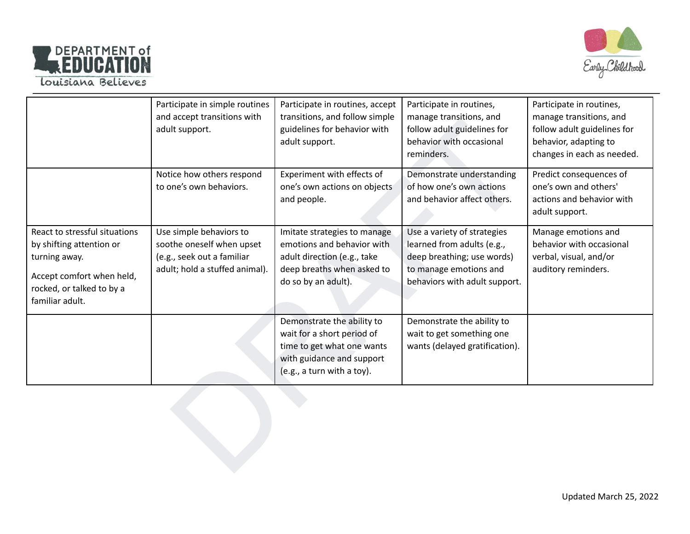



|                                                                                                                                                         | Participate in simple routines<br>and accept transitions with<br>adult support.                                      | Participate in routines, accept<br>transitions, and follow simple<br>guidelines for behavior with<br>adult support.                               | Participate in routines,<br>manage transitions, and<br>follow adult guidelines for<br>behavior with occasional<br>reminders.                       | Participate in routines,<br>manage transitions, and<br>follow adult guidelines for<br>behavior, adapting to<br>changes in each as needed. |
|---------------------------------------------------------------------------------------------------------------------------------------------------------|----------------------------------------------------------------------------------------------------------------------|---------------------------------------------------------------------------------------------------------------------------------------------------|----------------------------------------------------------------------------------------------------------------------------------------------------|-------------------------------------------------------------------------------------------------------------------------------------------|
|                                                                                                                                                         | Notice how others respond<br>to one's own behaviors.                                                                 | Experiment with effects of<br>one's own actions on objects<br>and people.                                                                         | Demonstrate understanding<br>of how one's own actions<br>and behavior affect others.                                                               | Predict consequences of<br>one's own and others'<br>actions and behavior with<br>adult support.                                           |
| React to stressful situations<br>by shifting attention or<br>turning away.<br>Accept comfort when held,<br>rocked, or talked to by a<br>familiar adult. | Use simple behaviors to<br>soothe oneself when upset<br>(e.g., seek out a familiar<br>adult; hold a stuffed animal). | Imitate strategies to manage<br>emotions and behavior with<br>adult direction (e.g., take<br>deep breaths when asked to<br>do so by an adult).    | Use a variety of strategies<br>learned from adults (e.g.,<br>deep breathing; use words)<br>to manage emotions and<br>behaviors with adult support. | Manage emotions and<br>behavior with occasional<br>verbal, visual, and/or<br>auditory reminders.                                          |
|                                                                                                                                                         |                                                                                                                      | Demonstrate the ability to<br>wait for a short period of<br>time to get what one wants<br>with guidance and support<br>(e.g., a turn with a toy). | Demonstrate the ability to<br>wait to get something one<br>wants (delayed gratification).                                                          |                                                                                                                                           |
|                                                                                                                                                         |                                                                                                                      |                                                                                                                                                   |                                                                                                                                                    |                                                                                                                                           |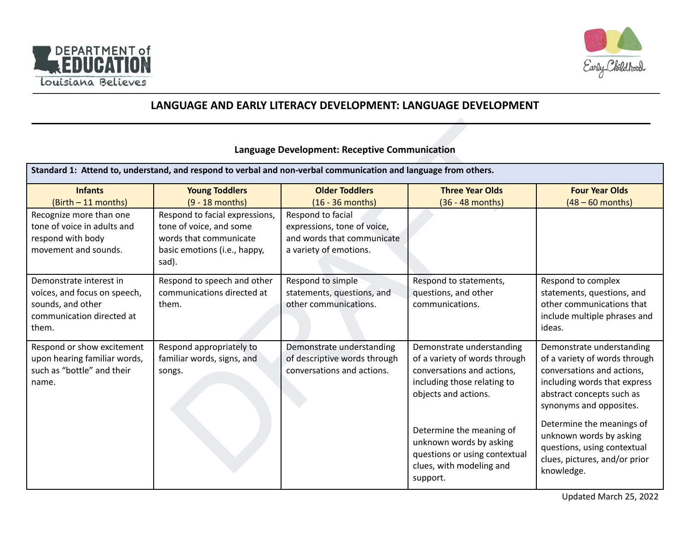



# **LANGUAGE AND EARLY LITERACY DEVELOPMENT: LANGUAGE DEVELOPMENT**

### **Language Development: Receptive Communication**

| <b>Language Development: Receptive Communication</b>                                                               |                                                                                                                              |                                                                                                          |                                                                                                                                                 |                                                                                                                                                                                  |  |
|--------------------------------------------------------------------------------------------------------------------|------------------------------------------------------------------------------------------------------------------------------|----------------------------------------------------------------------------------------------------------|-------------------------------------------------------------------------------------------------------------------------------------------------|----------------------------------------------------------------------------------------------------------------------------------------------------------------------------------|--|
|                                                                                                                    | Standard 1: Attend to, understand, and respond to verbal and non-verbal communication and language from others.              |                                                                                                          |                                                                                                                                                 |                                                                                                                                                                                  |  |
| <b>Infants</b><br>(Birth - 11 months)                                                                              | <b>Young Toddlers</b><br>$(9 - 18$ months)                                                                                   | <b>Older Toddlers</b><br>$(16 - 36$ months)                                                              | <b>Three Year Olds</b><br>(36 - 48 months)                                                                                                      | <b>Four Year Olds</b><br>$(48 - 60$ months)                                                                                                                                      |  |
| Recognize more than one<br>tone of voice in adults and<br>respond with body<br>movement and sounds.                | Respond to facial expressions,<br>tone of voice, and some<br>words that communicate<br>basic emotions (i.e., happy,<br>sad). | Respond to facial<br>expressions, tone of voice,<br>and words that communicate<br>a variety of emotions. |                                                                                                                                                 |                                                                                                                                                                                  |  |
| Demonstrate interest in<br>voices, and focus on speech,<br>sounds, and other<br>communication directed at<br>them. | Respond to speech and other<br>communications directed at<br>them.                                                           | Respond to simple<br>statements, questions, and<br>other communications.                                 | Respond to statements,<br>questions, and other<br>communications.                                                                               | Respond to complex<br>statements, questions, and<br>other communications that<br>include multiple phrases and<br>ideas.                                                          |  |
| Respond or show excitement<br>upon hearing familiar words,<br>such as "bottle" and their<br>name.                  | Respond appropriately to<br>familiar words, signs, and<br>songs.                                                             | Demonstrate understanding<br>of descriptive words through<br>conversations and actions.                  | Demonstrate understanding<br>of a variety of words through<br>conversations and actions,<br>including those relating to<br>objects and actions. | Demonstrate understanding<br>of a variety of words through<br>conversations and actions,<br>including words that express<br>abstract concepts such as<br>synonyms and opposites. |  |
|                                                                                                                    |                                                                                                                              |                                                                                                          | Determine the meaning of<br>unknown words by asking<br>questions or using contextual<br>clues, with modeling and<br>support.                    | Determine the meanings of<br>unknown words by asking<br>questions, using contextual<br>clues, pictures, and/or prior<br>knowledge.                                               |  |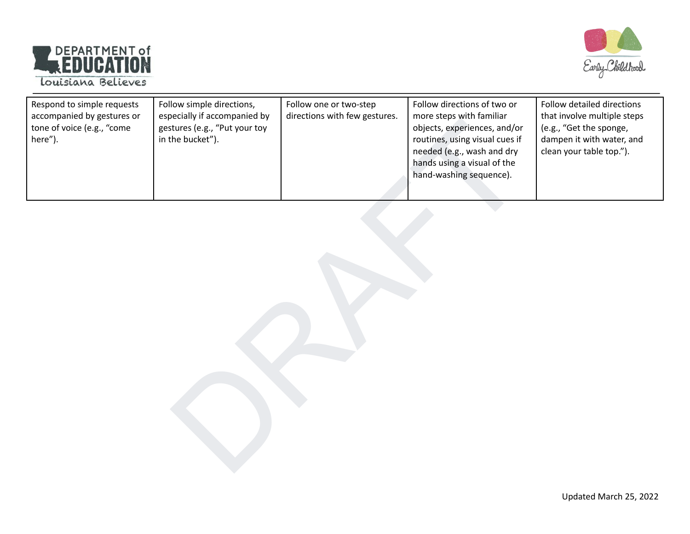



| Respond to simple requests<br>accompanied by gestures or<br>tone of voice (e.g., "come<br>here"). | Follow simple directions,<br>especially if accompanied by<br>gestures (e.g., "Put your toy<br>in the bucket"). | Follow one or two-step<br>directions with few gestures. | Follow directions of two or<br>more steps with familiar<br>objects, experiences, and/or<br>routines, using visual cues if<br>needed (e.g., wash and dry<br>hands using a visual of the<br>hand-washing sequence). | Follow detailed directions<br>that involve multiple steps<br>(e.g., "Get the sponge,<br>dampen it with water, and<br>clean your table top."). |
|---------------------------------------------------------------------------------------------------|----------------------------------------------------------------------------------------------------------------|---------------------------------------------------------|-------------------------------------------------------------------------------------------------------------------------------------------------------------------------------------------------------------------|-----------------------------------------------------------------------------------------------------------------------------------------------|
|                                                                                                   |                                                                                                                |                                                         |                                                                                                                                                                                                                   |                                                                                                                                               |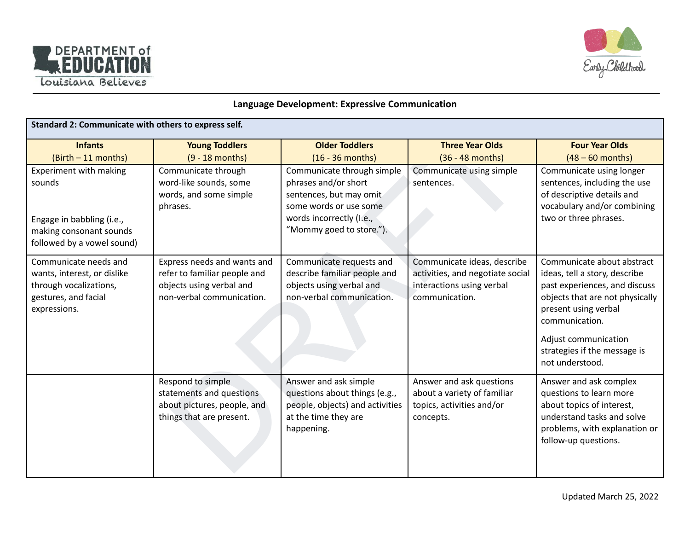



#### **Language Development: Expressive Communication**

| Standard 2: Communicate with others to express self.                                                                   |                                                                                                                      |                                                                                                                                 |                                                                                                                |                                                                                                                                                                                                                                                      |
|------------------------------------------------------------------------------------------------------------------------|----------------------------------------------------------------------------------------------------------------------|---------------------------------------------------------------------------------------------------------------------------------|----------------------------------------------------------------------------------------------------------------|------------------------------------------------------------------------------------------------------------------------------------------------------------------------------------------------------------------------------------------------------|
| <b>Infants</b><br>(Birth - 11 months)                                                                                  | <b>Young Toddlers</b><br>$(9 - 18$ months)                                                                           | <b>Older Toddlers</b><br>$(16 - 36$ months)                                                                                     | <b>Three Year Olds</b><br>$(36 - 48$ months)                                                                   | <b>Four Year Olds</b><br>$(48 - 60$ months)                                                                                                                                                                                                          |
| Experiment with making<br>sounds                                                                                       | Communicate through<br>word-like sounds, some<br>words, and some simple<br>phrases.                                  | Communicate through simple<br>phrases and/or short<br>sentences, but may omit<br>some words or use some                         | Communicate using simple<br>sentences.                                                                         | Communicate using longer<br>sentences, including the use<br>of descriptive details and<br>vocabulary and/or combining                                                                                                                                |
| Engage in babbling (i.e.,<br>making consonant sounds<br>followed by a vowel sound)                                     |                                                                                                                      | words incorrectly (I.e.,<br>"Mommy goed to store.").                                                                            |                                                                                                                | two or three phrases.                                                                                                                                                                                                                                |
| Communicate needs and<br>wants, interest, or dislike<br>through vocalizations,<br>gestures, and facial<br>expressions. | Express needs and wants and<br>refer to familiar people and<br>objects using verbal and<br>non-verbal communication. | Communicate requests and<br>describe familiar people and<br>objects using verbal and<br>non-verbal communication.               | Communicate ideas, describe<br>activities, and negotiate social<br>interactions using verbal<br>communication. | Communicate about abstract<br>ideas, tell a story, describe<br>past experiences, and discuss<br>objects that are not physically<br>present using verbal<br>communication.<br>Adjust communication<br>strategies if the message is<br>not understood. |
|                                                                                                                        | Respond to simple<br>statements and questions<br>about pictures, people, and<br>things that are present.             | Answer and ask simple<br>questions about things (e.g.,<br>people, objects) and activities<br>at the time they are<br>happening. | Answer and ask questions<br>about a variety of familiar<br>topics, activities and/or<br>concepts.              | Answer and ask complex<br>questions to learn more<br>about topics of interest,<br>understand tasks and solve<br>problems, with explanation or<br>follow-up questions.                                                                                |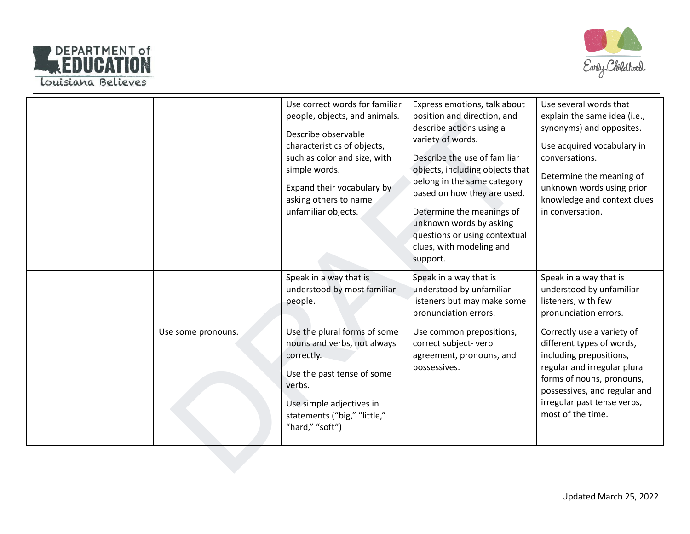



| Use correct words for familiar<br>people, objects, and animals.<br>Describe observable<br>characteristics of objects,<br>such as color and size, with<br>simple words.<br>Expand their vocabulary by<br>asking others to name<br>unfamiliar objects. | Express emotions, talk about<br>position and direction, and<br>describe actions using a<br>variety of words.<br>Describe the use of familiar<br>objects, including objects that<br>belong in the same category<br>based on how they are used.<br>Determine the meanings of<br>unknown words by asking<br>questions or using contextual<br>clues, with modeling and<br>support. | Use several words that<br>explain the same idea (i.e.,<br>synonyms) and opposites.<br>Use acquired vocabulary in<br>conversations.<br>Determine the meaning of<br>unknown words using prior<br>knowledge and context clues<br>in conversation. |
|------------------------------------------------------------------------------------------------------------------------------------------------------------------------------------------------------------------------------------------------------|--------------------------------------------------------------------------------------------------------------------------------------------------------------------------------------------------------------------------------------------------------------------------------------------------------------------------------------------------------------------------------|------------------------------------------------------------------------------------------------------------------------------------------------------------------------------------------------------------------------------------------------|
| Speak in a way that is<br>understood by most familiar<br>people.                                                                                                                                                                                     | Speak in a way that is<br>understood by unfamiliar<br>listeners but may make some<br>pronunciation errors.                                                                                                                                                                                                                                                                     | Speak in a way that is<br>understood by unfamiliar<br>listeners, with few<br>pronunciation errors.                                                                                                                                             |
| Use the plural forms of some<br>Use some pronouns.<br>nouns and verbs, not always<br>correctly.<br>Use the past tense of some<br>verbs.<br>Use simple adjectives in<br>statements ("big," "little,"<br>"hard," "soft")                               | Use common prepositions,<br>correct subject-verb<br>agreement, pronouns, and<br>possessives.                                                                                                                                                                                                                                                                                   | Correctly use a variety of<br>different types of words,<br>including prepositions,<br>regular and irregular plural<br>forms of nouns, pronouns,<br>possessives, and regular and<br>irregular past tense verbs,<br>most of the time.            |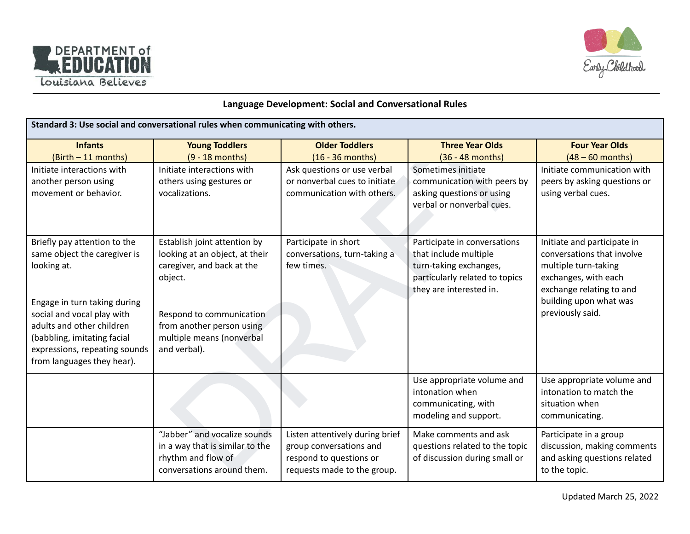



## **Language Development: Social and Conversational Rules**

| Standard 3: Use social and conversational rules when communicating with others.                                                                                                       |                                                                                                                     |                                                                                                                      |                                                                                                                                              |                                                                                                                                       |
|---------------------------------------------------------------------------------------------------------------------------------------------------------------------------------------|---------------------------------------------------------------------------------------------------------------------|----------------------------------------------------------------------------------------------------------------------|----------------------------------------------------------------------------------------------------------------------------------------------|---------------------------------------------------------------------------------------------------------------------------------------|
| <b>Infants</b><br>(Birth - 11 months)                                                                                                                                                 | <b>Young Toddlers</b><br>$(9 - 18$ months)                                                                          | <b>Older Toddlers</b><br>$(16 - 36$ months)                                                                          | <b>Three Year Olds</b><br>(36 - 48 months)                                                                                                   | <b>Four Year Olds</b><br>$(48 - 60$ months)                                                                                           |
| Initiate interactions with<br>another person using<br>movement or behavior.                                                                                                           | Initiate interactions with<br>others using gestures or<br>vocalizations.                                            | Ask questions or use verbal<br>or nonverbal cues to initiate<br>communication with others.                           | Sometimes initiate<br>communication with peers by<br>asking questions or using<br>verbal or nonverbal cues.                                  | Initiate communication with<br>peers by asking questions or<br>using verbal cues.                                                     |
| Briefly pay attention to the<br>same object the caregiver is<br>looking at.                                                                                                           | Establish joint attention by<br>looking at an object, at their<br>caregiver, and back at the<br>object.             | Participate in short<br>conversations, turn-taking a<br>few times.                                                   | Participate in conversations<br>that include multiple<br>turn-taking exchanges,<br>particularly related to topics<br>they are interested in. | Initiate and participate in<br>conversations that involve<br>multiple turn-taking<br>exchanges, with each<br>exchange relating to and |
| Engage in turn taking during<br>social and vocal play with<br>adults and other children<br>(babbling, imitating facial<br>expressions, repeating sounds<br>from languages they hear). | Respond to communication<br>from another person using<br>multiple means (nonverbal<br>and verbal).                  |                                                                                                                      |                                                                                                                                              | building upon what was<br>previously said.                                                                                            |
|                                                                                                                                                                                       |                                                                                                                     |                                                                                                                      | Use appropriate volume and<br>intonation when<br>communicating, with<br>modeling and support.                                                | Use appropriate volume and<br>intonation to match the<br>situation when<br>communicating.                                             |
|                                                                                                                                                                                       | "Jabber" and vocalize sounds<br>in a way that is similar to the<br>rhythm and flow of<br>conversations around them. | Listen attentively during brief<br>group conversations and<br>respond to questions or<br>requests made to the group. | Make comments and ask<br>questions related to the topic<br>of discussion during small or                                                     | Participate in a group<br>discussion, making comments<br>and asking questions related<br>to the topic.                                |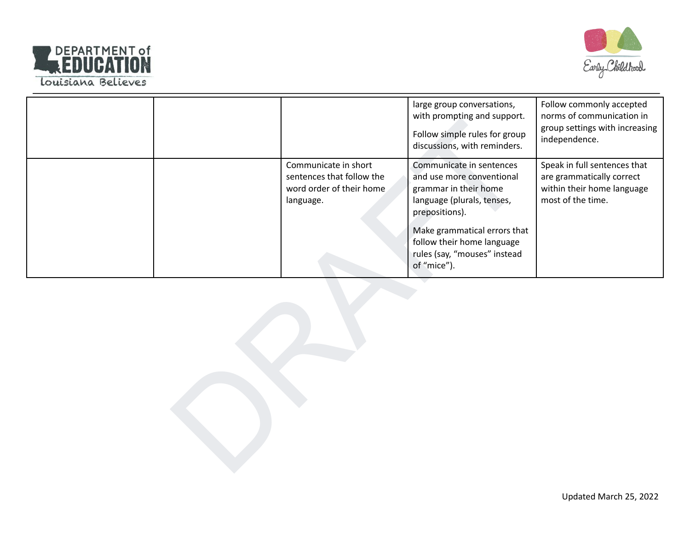



|  |                                                                                            | large group conversations,<br>with prompting and support.<br>Follow simple rules for group<br>discussions, with reminders.                                                                                                                  | Follow commonly accepted<br>norms of communication in<br>group settings with increasing<br>independence.     |
|--|--------------------------------------------------------------------------------------------|---------------------------------------------------------------------------------------------------------------------------------------------------------------------------------------------------------------------------------------------|--------------------------------------------------------------------------------------------------------------|
|  | Communicate in short<br>sentences that follow the<br>word order of their home<br>language. | Communicate in sentences<br>and use more conventional<br>grammar in their home<br>language (plurals, tenses,<br>prepositions).<br>Make grammatical errors that<br>follow their home language<br>rules (say, "mouses" instead<br>of "mice"). | Speak in full sentences that<br>are grammatically correct<br>within their home language<br>most of the time. |
|  |                                                                                            |                                                                                                                                                                                                                                             |                                                                                                              |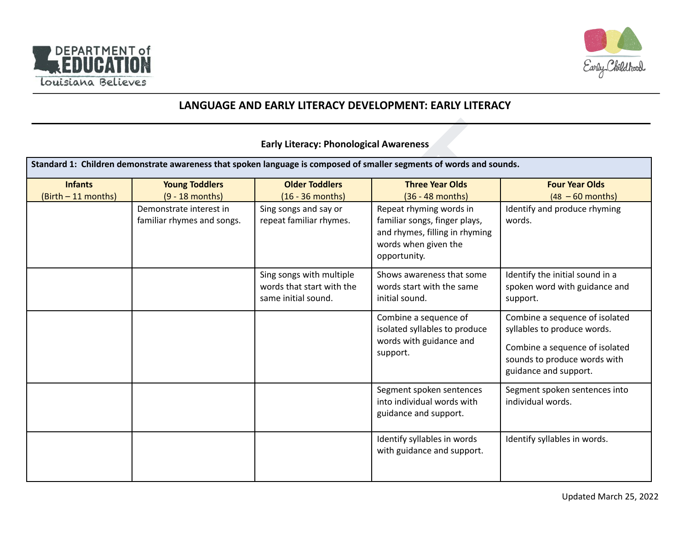



# **LANGUAGE AND EARLY LITERACY DEVELOPMENT: EARLY LITERACY**

#### **Early Literacy: Phonological Awareness**

|                                       | <b>Early Literacy: Phonological Awareness</b>         |                                                                              |                                                                                                                                    |                                                                                                                                                          |  |  |
|---------------------------------------|-------------------------------------------------------|------------------------------------------------------------------------------|------------------------------------------------------------------------------------------------------------------------------------|----------------------------------------------------------------------------------------------------------------------------------------------------------|--|--|
|                                       |                                                       |                                                                              | Standard 1: Children demonstrate awareness that spoken language is composed of smaller segments of words and sounds.               |                                                                                                                                                          |  |  |
| <b>Infants</b><br>(Birth - 11 months) | <b>Young Toddlers</b><br>$(9 - 18$ months)            | <b>Older Toddlers</b><br>$(16 - 36$ months)                                  | <b>Three Year Olds</b><br>$(36 - 48$ months)                                                                                       | <b>Four Year Olds</b><br>$(48 - 60$ months)                                                                                                              |  |  |
|                                       | Demonstrate interest in<br>familiar rhymes and songs. | Sing songs and say or<br>repeat familiar rhymes.                             | Repeat rhyming words in<br>familiar songs, finger plays,<br>and rhymes, filling in rhyming<br>words when given the<br>opportunity. | Identify and produce rhyming<br>words.                                                                                                                   |  |  |
|                                       |                                                       | Sing songs with multiple<br>words that start with the<br>same initial sound. | Shows awareness that some<br>words start with the same<br>initial sound.                                                           | Identify the initial sound in a<br>spoken word with guidance and<br>support.                                                                             |  |  |
|                                       |                                                       |                                                                              | Combine a sequence of<br>isolated syllables to produce<br>words with guidance and<br>support.                                      | Combine a sequence of isolated<br>syllables to produce words.<br>Combine a sequence of isolated<br>sounds to produce words with<br>guidance and support. |  |  |
|                                       |                                                       |                                                                              | Segment spoken sentences<br>into individual words with<br>guidance and support.                                                    | Segment spoken sentences into<br>individual words.                                                                                                       |  |  |
|                                       |                                                       |                                                                              | Identify syllables in words<br>with guidance and support.                                                                          | Identify syllables in words.                                                                                                                             |  |  |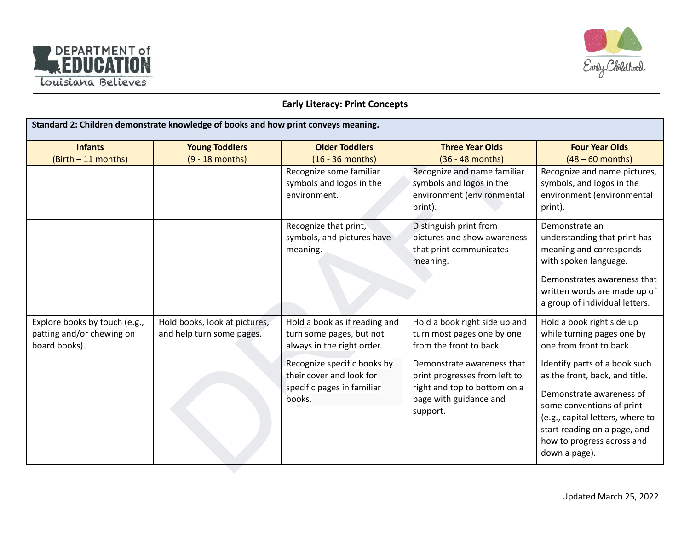



### **Early Literacy: Print Concepts**

| Standard 2: Children demonstrate knowledge of books and how print conveys meaning. |                                                            |                                                                                                 |                                                                                                                                   |                                                                                                                                                                                                                                             |
|------------------------------------------------------------------------------------|------------------------------------------------------------|-------------------------------------------------------------------------------------------------|-----------------------------------------------------------------------------------------------------------------------------------|---------------------------------------------------------------------------------------------------------------------------------------------------------------------------------------------------------------------------------------------|
| <b>Infants</b><br>(Birth - 11 months)                                              | <b>Young Toddlers</b><br>$(9 - 18$ months)                 | <b>Older Toddlers</b><br>$(16 - 36$ months)                                                     | <b>Three Year Olds</b><br>$(36 - 48$ months)                                                                                      | <b>Four Year Olds</b><br>$(48 - 60$ months)                                                                                                                                                                                                 |
|                                                                                    |                                                            | Recognize some familiar<br>symbols and logos in the<br>environment.                             | Recognize and name familiar<br>symbols and logos in the<br>environment (environmental<br>print).                                  | Recognize and name pictures,<br>symbols, and logos in the<br>environment (environmental<br>print).                                                                                                                                          |
|                                                                                    |                                                            | Recognize that print,<br>symbols, and pictures have<br>meaning.                                 | Distinguish print from<br>pictures and show awareness<br>that print communicates<br>meaning.                                      | Demonstrate an<br>understanding that print has<br>meaning and corresponds<br>with spoken language.                                                                                                                                          |
|                                                                                    |                                                            |                                                                                                 |                                                                                                                                   | Demonstrates awareness that<br>written words are made up of<br>a group of individual letters.                                                                                                                                               |
| Explore books by touch (e.g.,<br>patting and/or chewing on<br>board books).        | Hold books, look at pictures,<br>and help turn some pages. | Hold a book as if reading and<br>turn some pages, but not<br>always in the right order.         | Hold a book right side up and<br>turn most pages one by one<br>from the front to back.                                            | Hold a book right side up<br>while turning pages one by<br>one from front to back.                                                                                                                                                          |
|                                                                                    |                                                            | Recognize specific books by<br>their cover and look for<br>specific pages in familiar<br>books. | Demonstrate awareness that<br>print progresses from left to<br>right and top to bottom on a<br>page with guidance and<br>support. | Identify parts of a book such<br>as the front, back, and title.<br>Demonstrate awareness of<br>some conventions of print<br>(e.g., capital letters, where to<br>start reading on a page, and<br>how to progress across and<br>down a page). |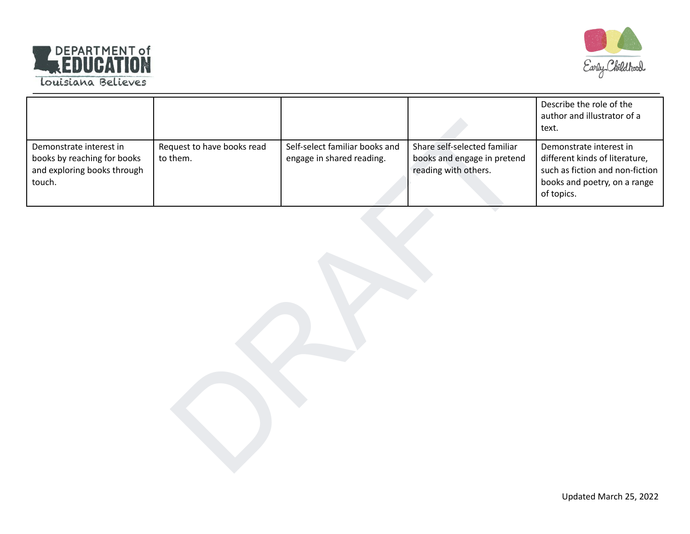



|                                                                                                 |                                        |                                                             |                                                                                     | Describe the role of the<br>author and illustrator of a<br>text.                                                                           |
|-------------------------------------------------------------------------------------------------|----------------------------------------|-------------------------------------------------------------|-------------------------------------------------------------------------------------|--------------------------------------------------------------------------------------------------------------------------------------------|
| Demonstrate interest in<br>books by reaching for books<br>and exploring books through<br>touch. | Request to have books read<br>to them. | Self-select familiar books and<br>engage in shared reading. | Share self-selected familiar<br>books and engage in pretend<br>reading with others. | Demonstrate interest in<br>different kinds of literature,<br>such as fiction and non-fiction<br>books and poetry, on a range<br>of topics. |
|                                                                                                 |                                        |                                                             |                                                                                     |                                                                                                                                            |
|                                                                                                 |                                        |                                                             |                                                                                     |                                                                                                                                            |
|                                                                                                 |                                        |                                                             |                                                                                     |                                                                                                                                            |
|                                                                                                 |                                        |                                                             |                                                                                     |                                                                                                                                            |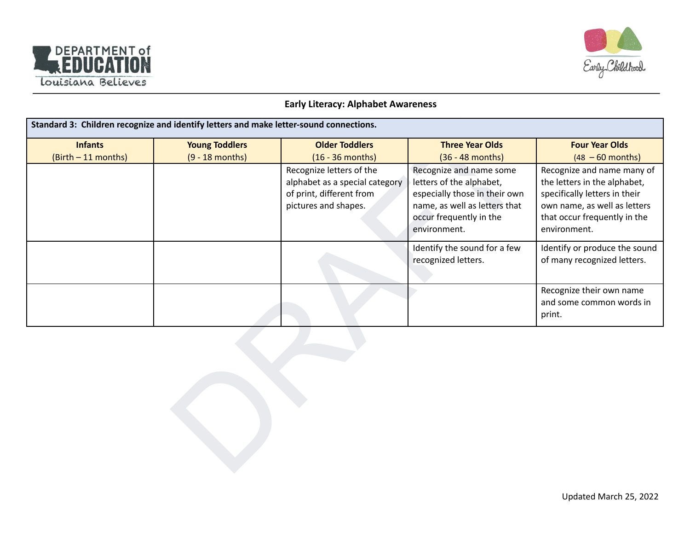



### **Early Literacy: Alphabet Awareness**

| Standard 3: Children recognize and identify letters and make letter-sound connections. |                       |                                                                                                                |                                                                                                                                                                  |                                                                                                                                                                             |
|----------------------------------------------------------------------------------------|-----------------------|----------------------------------------------------------------------------------------------------------------|------------------------------------------------------------------------------------------------------------------------------------------------------------------|-----------------------------------------------------------------------------------------------------------------------------------------------------------------------------|
| <b>Infants</b>                                                                         | <b>Young Toddlers</b> | <b>Older Toddlers</b>                                                                                          | <b>Three Year Olds</b>                                                                                                                                           | <b>Four Year Olds</b>                                                                                                                                                       |
| (Birth - 11 months)                                                                    | $(9 - 18$ months)     | $(16 - 36$ months)                                                                                             | $(36 - 48$ months)                                                                                                                                               | $(48 - 60$ months)                                                                                                                                                          |
|                                                                                        |                       | Recognize letters of the<br>alphabet as a special category<br>of print, different from<br>pictures and shapes. | Recognize and name some<br>letters of the alphabet,<br>especially those in their own<br>name, as well as letters that<br>occur frequently in the<br>environment. | Recognize and name many of<br>the letters in the alphabet,<br>specifically letters in their<br>own name, as well as letters<br>that occur frequently in the<br>environment. |
|                                                                                        |                       |                                                                                                                | Identify the sound for a few<br>recognized letters.                                                                                                              | Identify or produce the sound<br>of many recognized letters.                                                                                                                |
|                                                                                        |                       |                                                                                                                |                                                                                                                                                                  | Recognize their own name<br>and some common words in<br>print.                                                                                                              |
|                                                                                        |                       |                                                                                                                |                                                                                                                                                                  |                                                                                                                                                                             |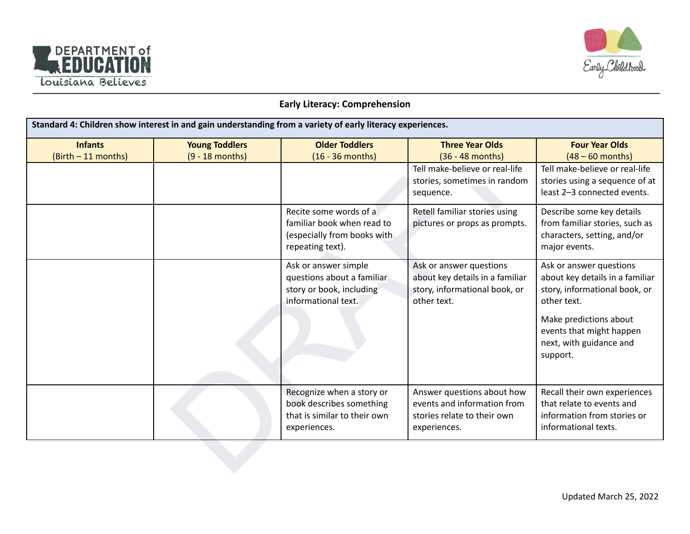



### **Early Literacy: Comprehension**

| Standard 4: Children show interest in and gain understanding from a variety of early literacy experiences. |                                            |                                                                                                         |                                                                                                            |                                                                                                                                                                                                         |
|------------------------------------------------------------------------------------------------------------|--------------------------------------------|---------------------------------------------------------------------------------------------------------|------------------------------------------------------------------------------------------------------------|---------------------------------------------------------------------------------------------------------------------------------------------------------------------------------------------------------|
| <b>Infants</b><br>(Birth - 11 months)                                                                      | <b>Young Toddlers</b><br>$(9 - 18$ months) | <b>Older Toddlers</b><br>$(16 - 36$ months)                                                             | <b>Three Year Olds</b><br>$(36 - 48$ months)                                                               | <b>Four Year Olds</b><br>$(48 - 60$ months)                                                                                                                                                             |
|                                                                                                            |                                            |                                                                                                         | Tell make-believe or real-life<br>stories, sometimes in random<br>sequence.                                | Tell make-believe or real-life<br>stories using a sequence of at<br>least 2-3 connected events.                                                                                                         |
|                                                                                                            |                                            | Recite some words of a<br>familiar book when read to<br>(especially from books with<br>repeating text). | Retell familiar stories using<br>pictures or props as prompts.                                             | Describe some key details<br>from familiar stories, such as<br>characters, setting, and/or<br>major events.                                                                                             |
|                                                                                                            |                                            | Ask or answer simple<br>questions about a familiar<br>story or book, including<br>informational text.   | Ask or answer questions<br>about key details in a familiar<br>story, informational book, or<br>other text. | Ask or answer questions<br>about key details in a familiar<br>story, informational book, or<br>other text.<br>Make predictions about<br>events that might happen<br>next, with guidance and<br>support. |
|                                                                                                            |                                            | Recognize when a story or<br>book describes something<br>that is similar to their own<br>experiences.   | Answer questions about how<br>events and information from<br>stories relate to their own<br>experiences.   | Recall their own experiences<br>that relate to events and<br>information from stories or<br>informational texts.                                                                                        |
|                                                                                                            |                                            |                                                                                                         |                                                                                                            |                                                                                                                                                                                                         |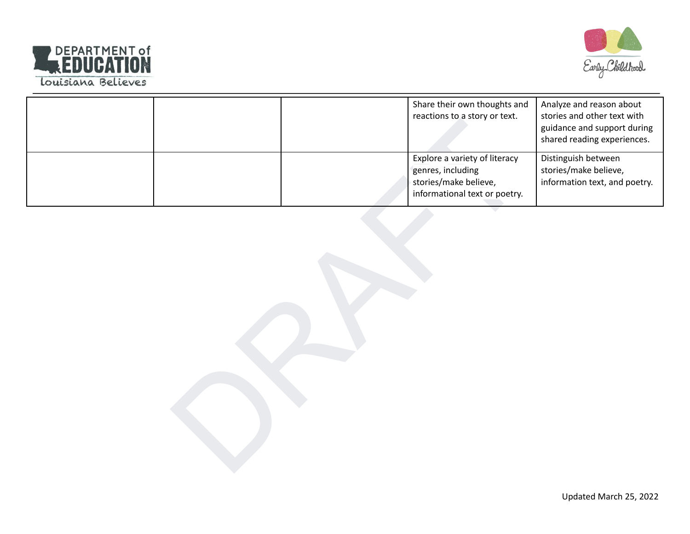



|  | Share their own thoughts and<br>reactions to a story or text.                                                | Analyze and reason about<br>stories and other text with<br>guidance and support during<br>shared reading experiences. |
|--|--------------------------------------------------------------------------------------------------------------|-----------------------------------------------------------------------------------------------------------------------|
|  | Explore a variety of literacy<br>genres, including<br>stories/make believe,<br>informational text or poetry. | Distinguish between<br>stories/make believe,<br>information text, and poetry.                                         |
|  |                                                                                                              |                                                                                                                       |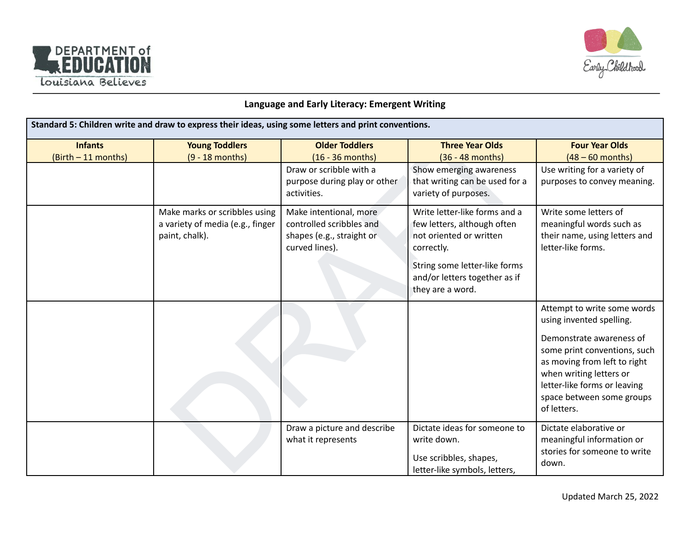



## **Language and Early Literacy: Emergent Writing**

| Standard 5: Children write and draw to express their ideas, using some letters and print conventions. |                                  |                                             |                                       |                                                     |
|-------------------------------------------------------------------------------------------------------|----------------------------------|---------------------------------------------|---------------------------------------|-----------------------------------------------------|
| <b>Infants</b>                                                                                        | <b>Young Toddlers</b>            | <b>Older Toddlers</b>                       | <b>Three Year Olds</b>                | <b>Four Year Olds</b>                               |
| (Birth - 11 months)                                                                                   | $(9 - 18$ months)                | $(16 - 36$ months)                          | $(36 - 48$ months)                    | $(48 - 60$ months)                                  |
|                                                                                                       |                                  | Draw or scribble with a                     | Show emerging awareness               | Use writing for a variety of                        |
|                                                                                                       |                                  | purpose during play or other                | that writing can be used for a        | purposes to convey meaning.                         |
|                                                                                                       |                                  | activities.                                 | variety of purposes.                  |                                                     |
|                                                                                                       | Make marks or scribbles using    | Make intentional, more                      | Write letter-like forms and a         | Write some letters of                               |
|                                                                                                       | a variety of media (e.g., finger | controlled scribbles and                    | few letters, although often           | meaningful words such as                            |
|                                                                                                       | paint, chalk).                   | shapes (e.g., straight or<br>curved lines). | not oriented or written<br>correctly. | their name, using letters and<br>letter-like forms. |
|                                                                                                       |                                  |                                             | String some letter-like forms         |                                                     |
|                                                                                                       |                                  |                                             | and/or letters together as if         |                                                     |
|                                                                                                       |                                  |                                             | they are a word.                      |                                                     |
|                                                                                                       |                                  |                                             |                                       | Attempt to write some words                         |
|                                                                                                       |                                  |                                             |                                       | using invented spelling.                            |
|                                                                                                       |                                  |                                             |                                       | Demonstrate awareness of                            |
|                                                                                                       |                                  |                                             |                                       | some print conventions, such                        |
|                                                                                                       |                                  |                                             |                                       | as moving from left to right                        |
|                                                                                                       |                                  |                                             |                                       | when writing letters or                             |
|                                                                                                       |                                  |                                             |                                       | letter-like forms or leaving                        |
|                                                                                                       |                                  |                                             |                                       | space between some groups                           |
|                                                                                                       |                                  |                                             |                                       | of letters.                                         |
|                                                                                                       |                                  | Draw a picture and describe                 | Dictate ideas for someone to          | Dictate elaborative or                              |
|                                                                                                       |                                  | what it represents                          | write down.                           | meaningful information or                           |
|                                                                                                       |                                  |                                             | Use scribbles, shapes,                | stories for someone to write                        |
|                                                                                                       |                                  |                                             | letter-like symbols, letters,         | down.                                               |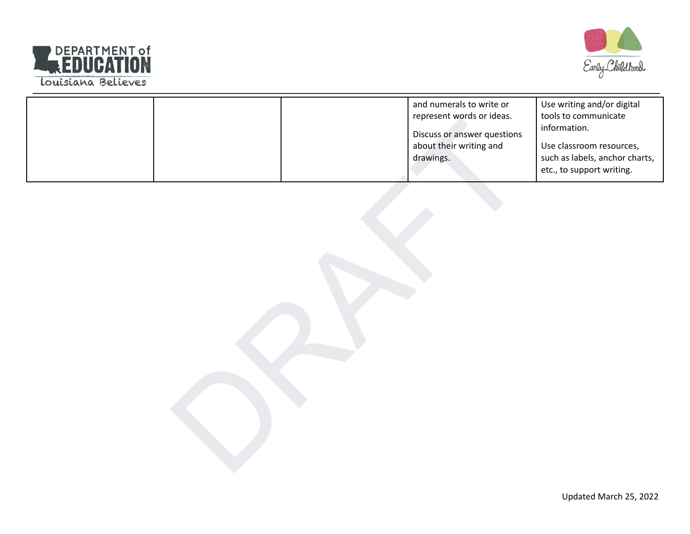



|  | and numerals to write or<br>represent words or ideas.<br>Discuss or answer questions<br>about their writing and<br>drawings. | Use writing and/or digital<br>tools to communicate<br>information.<br>Use classroom resources,<br>such as labels, anchor charts,<br>etc., to support writing. |
|--|------------------------------------------------------------------------------------------------------------------------------|---------------------------------------------------------------------------------------------------------------------------------------------------------------|
|  |                                                                                                                              |                                                                                                                                                               |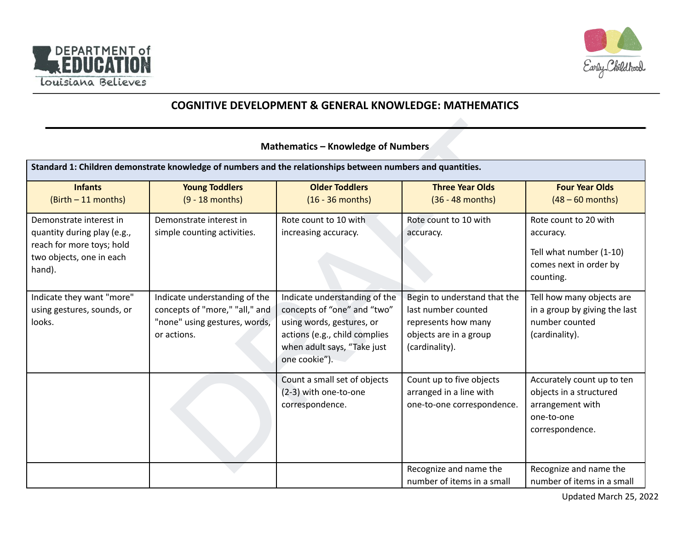



# **COGNITIVE DEVELOPMENT & GENERAL KNOWLEDGE: MATHEMATICS**

### **Mathematics – Knowledge of Numbers**

| <b>Mathematics - Knowledge of Numbers</b>                                                                                 |                                                                                                                 |                                                                                                                                                                            |                                                                                                                        |                                                                                                            |
|---------------------------------------------------------------------------------------------------------------------------|-----------------------------------------------------------------------------------------------------------------|----------------------------------------------------------------------------------------------------------------------------------------------------------------------------|------------------------------------------------------------------------------------------------------------------------|------------------------------------------------------------------------------------------------------------|
|                                                                                                                           | Standard 1: Children demonstrate knowledge of numbers and the relationships between numbers and quantities.     |                                                                                                                                                                            |                                                                                                                        |                                                                                                            |
| <b>Infants</b><br>(Birth - 11 months)                                                                                     | <b>Young Toddlers</b><br>$(9 - 18$ months)                                                                      | <b>Older Toddlers</b><br>$(16 - 36$ months)                                                                                                                                | <b>Three Year Olds</b><br>$(36 - 48$ months)                                                                           | <b>Four Year Olds</b><br>$(48 - 60$ months)                                                                |
| Demonstrate interest in<br>quantity during play (e.g.,<br>reach for more toys; hold<br>two objects, one in each<br>hand). | Demonstrate interest in<br>simple counting activities.                                                          | Rote count to 10 with<br>increasing accuracy.                                                                                                                              | Rote count to 10 with<br>accuracy.                                                                                     | Rote count to 20 with<br>accuracy.<br>Tell what number (1-10)<br>comes next in order by<br>counting.       |
| Indicate they want "more"<br>using gestures, sounds, or<br>looks.                                                         | Indicate understanding of the<br>concepts of "more," "all," and<br>"none" using gestures, words,<br>or actions. | Indicate understanding of the<br>concepts of "one" and "two"<br>using words, gestures, or<br>actions (e.g., child complies<br>when adult says, "Take just<br>one cookie"). | Begin to understand that the<br>last number counted<br>represents how many<br>objects are in a group<br>(cardinality). | Tell how many objects are<br>in a group by giving the last<br>number counted<br>(cardinality).             |
|                                                                                                                           |                                                                                                                 | Count a small set of objects<br>(2-3) with one-to-one<br>correspondence.                                                                                                   | Count up to five objects<br>arranged in a line with<br>one-to-one correspondence.                                      | Accurately count up to ten<br>objects in a structured<br>arrangement with<br>one-to-one<br>correspondence. |
|                                                                                                                           |                                                                                                                 |                                                                                                                                                                            | Recognize and name the<br>number of items in a small                                                                   | Recognize and name the<br>number of items in a small                                                       |

Updated March 25, 2022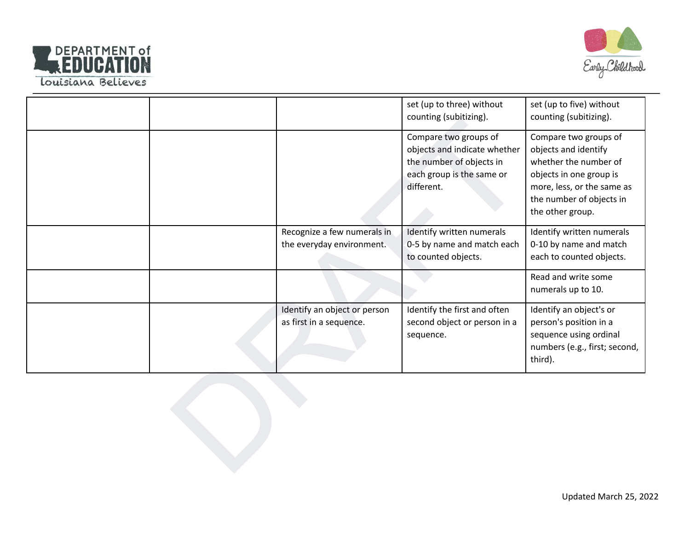



|  |                                                          | set (up to three) without<br>counting (subitizing).                                                                          | set (up to five) without<br>counting (subitizing).                                                                                                                              |
|--|----------------------------------------------------------|------------------------------------------------------------------------------------------------------------------------------|---------------------------------------------------------------------------------------------------------------------------------------------------------------------------------|
|  |                                                          | Compare two groups of<br>objects and indicate whether<br>the number of objects in<br>each group is the same or<br>different. | Compare two groups of<br>objects and identify<br>whether the number of<br>objects in one group is<br>more, less, or the same as<br>the number of objects in<br>the other group. |
|  | Recognize a few numerals in<br>the everyday environment. | Identify written numerals<br>0-5 by name and match each<br>to counted objects.                                               | Identify written numerals<br>0-10 by name and match<br>each to counted objects.                                                                                                 |
|  |                                                          |                                                                                                                              | Read and write some<br>numerals up to 10.                                                                                                                                       |
|  | Identify an object or person<br>as first in a sequence.  | Identify the first and often<br>second object or person in a<br>sequence.                                                    | Identify an object's or<br>person's position in a<br>sequence using ordinal<br>numbers (e.g., first; second,<br>third).                                                         |
|  |                                                          |                                                                                                                              |                                                                                                                                                                                 |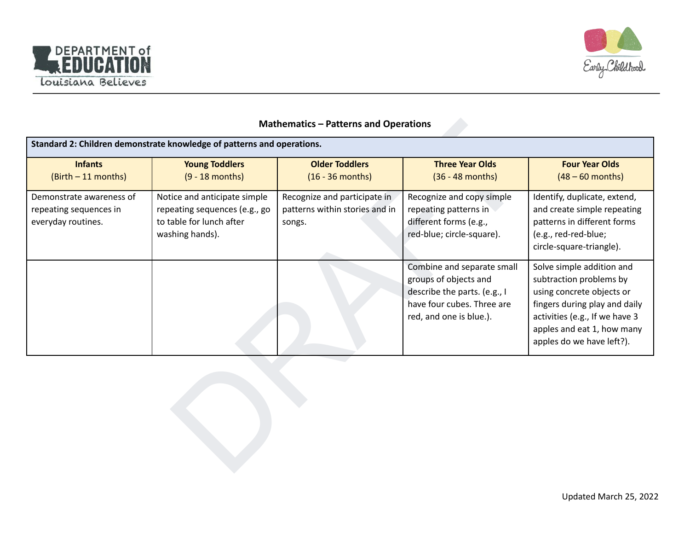



### **Mathematics – Patterns and Operations**

| <b>Mathematics - Patterns and Operations</b>                             |                                                                                                              |                                                                          |                                                                                                                                              |                                                                                                                                                                                                                 |  |
|--------------------------------------------------------------------------|--------------------------------------------------------------------------------------------------------------|--------------------------------------------------------------------------|----------------------------------------------------------------------------------------------------------------------------------------------|-----------------------------------------------------------------------------------------------------------------------------------------------------------------------------------------------------------------|--|
|                                                                          | Standard 2: Children demonstrate knowledge of patterns and operations.                                       |                                                                          |                                                                                                                                              |                                                                                                                                                                                                                 |  |
| <b>Infants</b><br>(Birth - 11 months)                                    | <b>Young Toddlers</b><br>$(9 - 18$ months)                                                                   | <b>Older Toddlers</b><br>$(16 - 36$ months)                              | <b>Three Year Olds</b><br>$(36 - 48$ months)                                                                                                 | <b>Four Year Olds</b><br>$(48 - 60$ months)                                                                                                                                                                     |  |
| Demonstrate awareness of<br>repeating sequences in<br>everyday routines. | Notice and anticipate simple<br>repeating sequences (e.g., go<br>to table for lunch after<br>washing hands). | Recognize and participate in<br>patterns within stories and in<br>songs. | Recognize and copy simple<br>repeating patterns in<br>different forms (e.g.,<br>red-blue; circle-square).                                    | Identify, duplicate, extend,<br>and create simple repeating<br>patterns in different forms<br>(e.g., red-red-blue;<br>circle-square-triangle).                                                                  |  |
|                                                                          |                                                                                                              |                                                                          | Combine and separate small<br>groups of objects and<br>describe the parts. (e.g., I<br>have four cubes. Three are<br>red, and one is blue.). | Solve simple addition and<br>subtraction problems by<br>using concrete objects or<br>fingers during play and daily<br>activities (e.g., If we have 3<br>apples and eat 1, how many<br>apples do we have left?). |  |
|                                                                          |                                                                                                              |                                                                          |                                                                                                                                              |                                                                                                                                                                                                                 |  |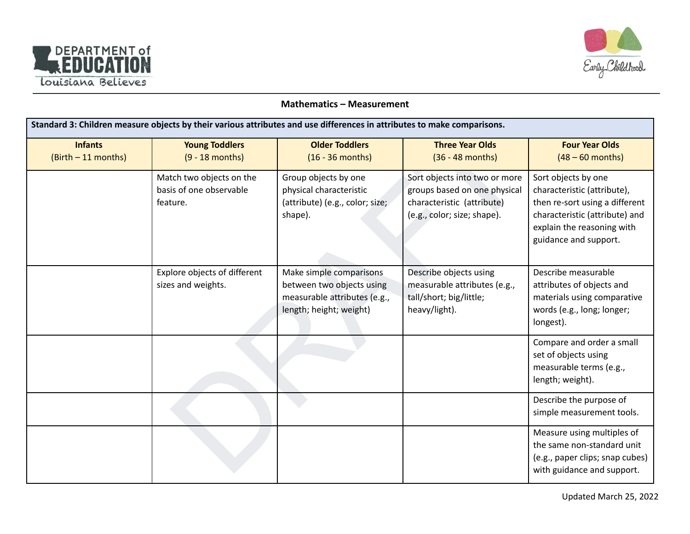



#### **Mathematics – Measurement**

| Standard 3: Children measure objects by their various attributes and use differences in attributes to make comparisons. |                                                                 |                                                                                                                 |                                                                                                                            |                                                                                                                                                                               |
|-------------------------------------------------------------------------------------------------------------------------|-----------------------------------------------------------------|-----------------------------------------------------------------------------------------------------------------|----------------------------------------------------------------------------------------------------------------------------|-------------------------------------------------------------------------------------------------------------------------------------------------------------------------------|
| <b>Infants</b><br>(Birth - 11 months)                                                                                   | <b>Young Toddlers</b><br>$(9 - 18$ months)                      | <b>Older Toddlers</b><br>$(16 - 36$ months)                                                                     | <b>Three Year Olds</b><br>$(36 - 48$ months)                                                                               | <b>Four Year Olds</b><br>$(48 - 60$ months)                                                                                                                                   |
|                                                                                                                         | Match two objects on the<br>basis of one observable<br>feature. | Group objects by one<br>physical characteristic<br>(attribute) (e.g., color; size;<br>shape).                   | Sort objects into two or more<br>groups based on one physical<br>characteristic (attribute)<br>(e.g., color; size; shape). | Sort objects by one<br>characteristic (attribute),<br>then re-sort using a different<br>characteristic (attribute) and<br>explain the reasoning with<br>guidance and support. |
|                                                                                                                         | Explore objects of different<br>sizes and weights.              | Make simple comparisons<br>between two objects using<br>measurable attributes (e.g.,<br>length; height; weight) | Describe objects using<br>measurable attributes (e.g.,<br>tall/short; big/little;<br>heavy/light).                         | Describe measurable<br>attributes of objects and<br>materials using comparative<br>words (e.g., long; longer;<br>longest).                                                    |
|                                                                                                                         |                                                                 |                                                                                                                 |                                                                                                                            | Compare and order a small<br>set of objects using<br>measurable terms (e.g.,<br>length; weight).                                                                              |
|                                                                                                                         |                                                                 |                                                                                                                 |                                                                                                                            | Describe the purpose of<br>simple measurement tools.                                                                                                                          |
|                                                                                                                         |                                                                 |                                                                                                                 |                                                                                                                            | Measure using multiples of<br>the same non-standard unit<br>(e.g., paper clips; snap cubes)<br>with guidance and support.                                                     |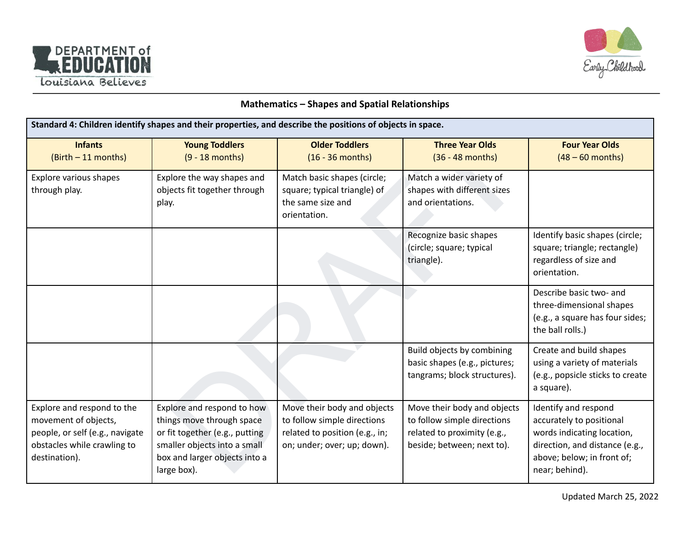



### **Mathematics – Shapes and Spatial Relationships**

| Standard 4: Children identify shapes and their properties, and describe the positions of objects in space.                            |                                                                                                                                                                           |                                                                                                                             |                                                                                                                         |                                                                                                                                                                  |
|---------------------------------------------------------------------------------------------------------------------------------------|---------------------------------------------------------------------------------------------------------------------------------------------------------------------------|-----------------------------------------------------------------------------------------------------------------------------|-------------------------------------------------------------------------------------------------------------------------|------------------------------------------------------------------------------------------------------------------------------------------------------------------|
| <b>Infants</b><br>(Birth - 11 months)                                                                                                 | <b>Young Toddlers</b><br>$(9 - 18$ months)                                                                                                                                | <b>Older Toddlers</b><br>$(16 - 36$ months)                                                                                 | <b>Three Year Olds</b><br>$(36 - 48$ months)                                                                            | <b>Four Year Olds</b><br>$(48 - 60$ months)                                                                                                                      |
| Explore various shapes<br>through play.                                                                                               | Explore the way shapes and<br>objects fit together through<br>play.                                                                                                       | Match basic shapes (circle;<br>square; typical triangle) of<br>the same size and<br>orientation.                            | Match a wider variety of<br>shapes with different sizes<br>and orientations.                                            |                                                                                                                                                                  |
|                                                                                                                                       |                                                                                                                                                                           |                                                                                                                             | Recognize basic shapes<br>(circle; square; typical<br>triangle).                                                        | Identify basic shapes (circle;<br>square; triangle; rectangle)<br>regardless of size and<br>orientation.                                                         |
|                                                                                                                                       |                                                                                                                                                                           |                                                                                                                             |                                                                                                                         | Describe basic two- and<br>three-dimensional shapes<br>(e.g., a square has four sides;<br>the ball rolls.)                                                       |
|                                                                                                                                       |                                                                                                                                                                           |                                                                                                                             | Build objects by combining<br>basic shapes (e.g., pictures;<br>tangrams; block structures).                             | Create and build shapes<br>using a variety of materials<br>(e.g., popsicle sticks to create<br>a square).                                                        |
| Explore and respond to the<br>movement of objects,<br>people, or self (e.g., navigate<br>obstacles while crawling to<br>destination). | Explore and respond to how<br>things move through space<br>or fit together (e.g., putting<br>smaller objects into a small<br>box and larger objects into a<br>large box). | Move their body and objects<br>to follow simple directions<br>related to position (e.g., in;<br>on; under; over; up; down). | Move their body and objects<br>to follow simple directions<br>related to proximity (e.g.,<br>beside; between; next to). | Identify and respond<br>accurately to positional<br>words indicating location,<br>direction, and distance (e.g.,<br>above; below; in front of;<br>near; behind). |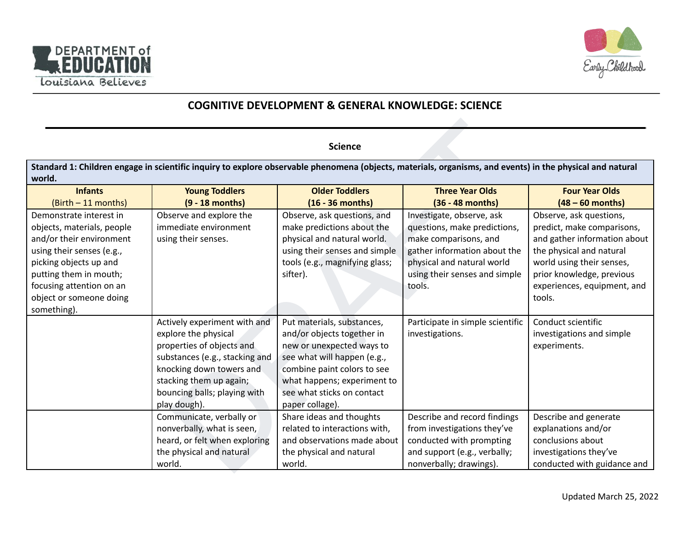



# **COGNITIVE DEVELOPMENT & GENERAL KNOWLEDGE: SCIENCE**

#### **Science**

| <b>Science</b>             |                                                                                                                                                           |                                |                                  |                              |
|----------------------------|-----------------------------------------------------------------------------------------------------------------------------------------------------------|--------------------------------|----------------------------------|------------------------------|
| world.                     | Standard 1: Children engage in scientific inquiry to explore observable phenomena (objects, materials, organisms, and events) in the physical and natural |                                |                                  |                              |
| <b>Infants</b>             | <b>Young Toddlers</b>                                                                                                                                     | <b>Older Toddlers</b>          | <b>Three Year Olds</b>           | <b>Four Year Olds</b>        |
| (Birth - 11 months)        | $(9 - 18$ months)                                                                                                                                         | $(16 - 36$ months)             | (36 - 48 months)                 | $(48 - 60$ months)           |
| Demonstrate interest in    | Observe and explore the                                                                                                                                   | Observe, ask questions, and    | Investigate, observe, ask        | Observe, ask questions,      |
| objects, materials, people | immediate environment                                                                                                                                     | make predictions about the     | questions, make predictions,     | predict, make comparisons,   |
| and/or their environment   | using their senses.                                                                                                                                       | physical and natural world.    | make comparisons, and            | and gather information about |
| using their senses (e.g.,  |                                                                                                                                                           | using their senses and simple  | gather information about the     | the physical and natural     |
| picking objects up and     |                                                                                                                                                           | tools (e.g., magnifying glass; | physical and natural world       | world using their senses,    |
| putting them in mouth;     |                                                                                                                                                           | sifter).                       | using their senses and simple    | prior knowledge, previous    |
| focusing attention on an   |                                                                                                                                                           |                                | tools.                           | experiences, equipment, and  |
| object or someone doing    |                                                                                                                                                           |                                |                                  | tools.                       |
| something).                |                                                                                                                                                           |                                |                                  |                              |
|                            | Actively experiment with and                                                                                                                              | Put materials, substances,     | Participate in simple scientific | Conduct scientific           |
|                            | explore the physical                                                                                                                                      | and/or objects together in     | investigations.                  | investigations and simple    |
|                            | properties of objects and                                                                                                                                 | new or unexpected ways to      |                                  | experiments.                 |
|                            | substances (e.g., stacking and                                                                                                                            | see what will happen (e.g.,    |                                  |                              |
|                            | knocking down towers and                                                                                                                                  | combine paint colors to see    |                                  |                              |
|                            | stacking them up again;                                                                                                                                   | what happens; experiment to    |                                  |                              |
|                            | bouncing balls; playing with                                                                                                                              | see what sticks on contact     |                                  |                              |
|                            | play dough).                                                                                                                                              | paper collage).                |                                  |                              |
|                            | Communicate, verbally or                                                                                                                                  | Share ideas and thoughts       | Describe and record findings     | Describe and generate        |
|                            | nonverbally, what is seen,                                                                                                                                | related to interactions with,  | from investigations they've      | explanations and/or          |
|                            | heard, or felt when exploring                                                                                                                             | and observations made about    | conducted with prompting         | conclusions about            |
|                            | the physical and natural                                                                                                                                  | the physical and natural       | and support (e.g., verbally;     | investigations they've       |
|                            | world.                                                                                                                                                    | world.                         | nonverbally; drawings).          | conducted with guidance and  |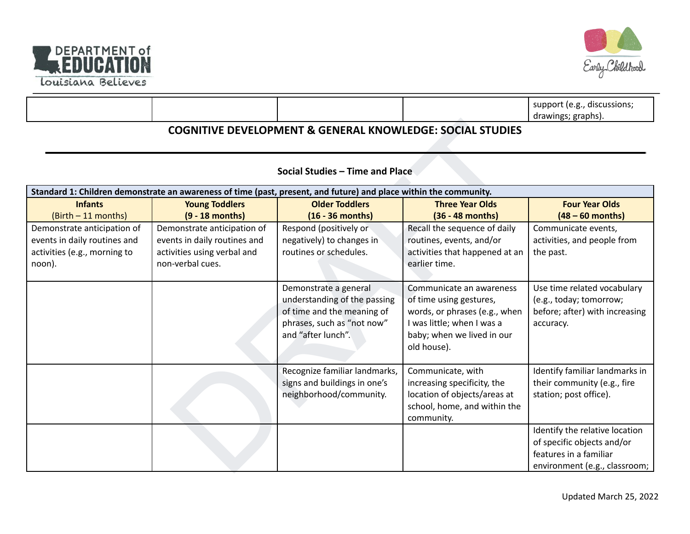



support (e.g., discussions; drawings; graphs).

# **COGNITIVE DEVELOPMENT & GENERAL KNOWLEDGE: SOCIAL STUDIES**

#### **Social Studies – Time and Place**

|                                                                                                                                                      |                              |                                                                                                                                         |                                                                                                                                                                 | urawings, graphsj.                                                                                                      |  |
|------------------------------------------------------------------------------------------------------------------------------------------------------|------------------------------|-----------------------------------------------------------------------------------------------------------------------------------------|-----------------------------------------------------------------------------------------------------------------------------------------------------------------|-------------------------------------------------------------------------------------------------------------------------|--|
| <b>COGNITIVE DEVELOPMENT &amp; GENERAL KNOWLEDGE: SOCIAL STUDIES</b>                                                                                 |                              |                                                                                                                                         |                                                                                                                                                                 |                                                                                                                         |  |
| Social Studies - Time and Place<br>Standard 1: Children demonstrate an awareness of time (past, present, and future) and place within the community. |                              |                                                                                                                                         |                                                                                                                                                                 |                                                                                                                         |  |
|                                                                                                                                                      |                              |                                                                                                                                         |                                                                                                                                                                 |                                                                                                                         |  |
| <b>Infants</b>                                                                                                                                       | <b>Young Toddlers</b>        | <b>Older Toddlers</b>                                                                                                                   | <b>Three Year Olds</b>                                                                                                                                          | <b>Four Year Olds</b>                                                                                                   |  |
| (Birth - 11 months)                                                                                                                                  | $(9 - 18$ months)            | $(16 - 36$ months)                                                                                                                      | (36 - 48 months)                                                                                                                                                | $(48 - 60$ months)                                                                                                      |  |
| Demonstrate anticipation of                                                                                                                          | Demonstrate anticipation of  | Respond (positively or                                                                                                                  | Recall the sequence of daily                                                                                                                                    | Communicate events,                                                                                                     |  |
| events in daily routines and                                                                                                                         | events in daily routines and | negatively) to changes in                                                                                                               | routines, events, and/or                                                                                                                                        | activities, and people from                                                                                             |  |
| activities (e.g., morning to                                                                                                                         | activities using verbal and  | routines or schedules.                                                                                                                  | activities that happened at an                                                                                                                                  | the past.                                                                                                               |  |
| noon).                                                                                                                                               | non-verbal cues.             |                                                                                                                                         | earlier time.                                                                                                                                                   |                                                                                                                         |  |
|                                                                                                                                                      |                              |                                                                                                                                         |                                                                                                                                                                 |                                                                                                                         |  |
|                                                                                                                                                      |                              | Demonstrate a general<br>understanding of the passing<br>of time and the meaning of<br>phrases, such as "not now"<br>and "after lunch". | Communicate an awareness<br>of time using gestures,<br>words, or phrases (e.g., when<br>I was little; when I was a<br>baby; when we lived in our<br>old house). | Use time related vocabulary<br>(e.g., today; tomorrow;<br>before; after) with increasing<br>accuracy.                   |  |
|                                                                                                                                                      |                              | Recognize familiar landmarks,<br>signs and buildings in one's<br>neighborhood/community.                                                | Communicate, with<br>increasing specificity, the<br>location of objects/areas at<br>school, home, and within the<br>community.                                  | Identify familiar landmarks in<br>their community (e.g., fire<br>station; post office).                                 |  |
|                                                                                                                                                      |                              |                                                                                                                                         |                                                                                                                                                                 | Identify the relative location<br>of specific objects and/or<br>features in a familiar<br>environment (e.g., classroom; |  |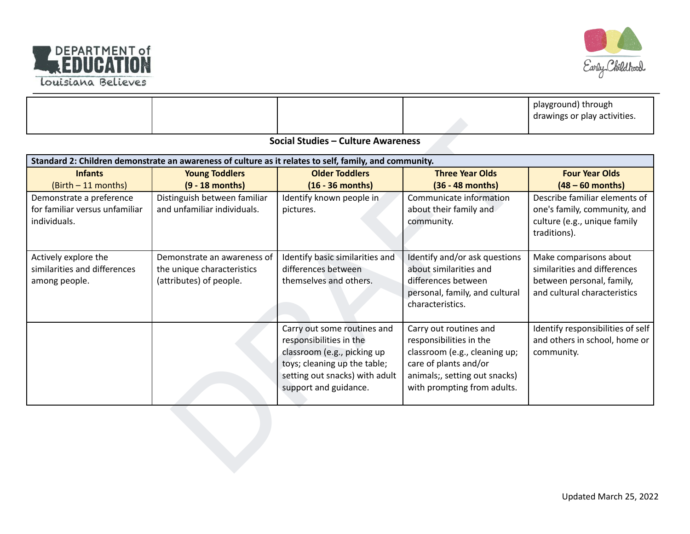



|  |  |  | playground) through<br>drawings or play activities. |
|--|--|--|-----------------------------------------------------|
|--|--|--|-----------------------------------------------------|

|                                                                            |                                                                                                        |                                                                                                                                                                                  |                                                                                                                                                                             | arawirgs or play activities.                                                                                        |  |  |
|----------------------------------------------------------------------------|--------------------------------------------------------------------------------------------------------|----------------------------------------------------------------------------------------------------------------------------------------------------------------------------------|-----------------------------------------------------------------------------------------------------------------------------------------------------------------------------|---------------------------------------------------------------------------------------------------------------------|--|--|
| Social Studies - Culture Awareness                                         |                                                                                                        |                                                                                                                                                                                  |                                                                                                                                                                             |                                                                                                                     |  |  |
|                                                                            | Standard 2: Children demonstrate an awareness of culture as it relates to self, family, and community. |                                                                                                                                                                                  |                                                                                                                                                                             |                                                                                                                     |  |  |
| <b>Infants</b><br>(Birth - 11 months)                                      | <b>Young Toddlers</b><br>$(9 - 18$ months)                                                             | <b>Older Toddlers</b><br>$(16 - 36$ months)                                                                                                                                      | <b>Three Year Olds</b><br>(36 - 48 months)                                                                                                                                  | <b>Four Year Olds</b><br>$(48 - 60$ months)                                                                         |  |  |
| Demonstrate a preference<br>for familiar versus unfamiliar<br>individuals. | Distinguish between familiar<br>and unfamiliar individuals.                                            | Identify known people in<br>pictures.                                                                                                                                            | Communicate information<br>about their family and<br>community.                                                                                                             | Describe familiar elements of<br>one's family, community, and<br>culture (e.g., unique family<br>traditions).       |  |  |
| Actively explore the<br>similarities and differences<br>among people.      | Demonstrate an awareness of<br>the unique characteristics<br>(attributes) of people.                   | Identify basic similarities and<br>differences between<br>themselves and others.                                                                                                 | Identify and/or ask questions<br>about similarities and<br>differences between<br>personal, family, and cultural<br>characteristics.                                        | Make comparisons about<br>similarities and differences<br>between personal, family,<br>and cultural characteristics |  |  |
|                                                                            |                                                                                                        | Carry out some routines and<br>responsibilities in the<br>classroom (e.g., picking up<br>toys; cleaning up the table;<br>setting out snacks) with adult<br>support and guidance. | Carry out routines and<br>responsibilities in the<br>classroom (e.g., cleaning up;<br>care of plants and/or<br>animals;, setting out snacks)<br>with prompting from adults. | Identify responsibilities of self<br>and others in school, home or<br>community.                                    |  |  |
|                                                                            |                                                                                                        |                                                                                                                                                                                  |                                                                                                                                                                             |                                                                                                                     |  |  |

### **Social Studies – Culture Awareness**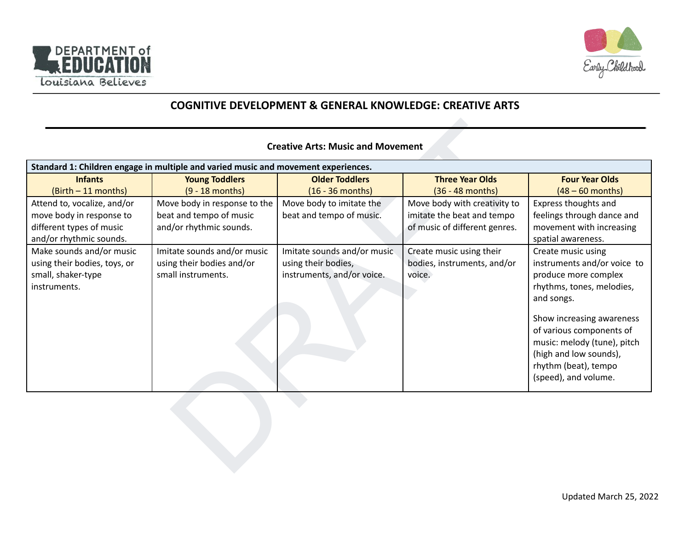



# **COGNITIVE DEVELOPMENT & GENERAL KNOWLEDGE: CREATIVE ARTS**

#### **Creative Arts: Music and Movement**

|                              | <b>Creative Arts: Music and Movement</b>                                           |                             |                               |                             |  |  |
|------------------------------|------------------------------------------------------------------------------------|-----------------------------|-------------------------------|-----------------------------|--|--|
|                              | Standard 1: Children engage in multiple and varied music and movement experiences. |                             |                               |                             |  |  |
| <b>Infants</b>               | <b>Young Toddlers</b>                                                              | <b>Older Toddlers</b>       | <b>Three Year Olds</b>        | <b>Four Year Olds</b>       |  |  |
| (Birth - 11 months)          | (9 - 18 months)                                                                    | $(16 - 36$ months)          | (36 - 48 months)              | $(48 - 60$ months)          |  |  |
| Attend to, vocalize, and/or  | Move body in response to the                                                       | Move body to imitate the    | Move body with creativity to  | Express thoughts and        |  |  |
| move body in response to     | beat and tempo of music                                                            | beat and tempo of music.    | imitate the beat and tempo    | feelings through dance and  |  |  |
| different types of music     | and/or rhythmic sounds.                                                            |                             | of music of different genres. | movement with increasing    |  |  |
| and/or rhythmic sounds.      |                                                                                    |                             |                               | spatial awareness.          |  |  |
| Make sounds and/or music     | Imitate sounds and/or music                                                        | Imitate sounds and/or music | Create music using their      | Create music using          |  |  |
| using their bodies, toys, or | using their bodies and/or                                                          | using their bodies,         | bodies, instruments, and/or   | instruments and/or voice to |  |  |
| small, shaker-type           | small instruments.                                                                 | instruments, and/or voice.  | voice.                        | produce more complex        |  |  |
| instruments.                 |                                                                                    |                             |                               | rhythms, tones, melodies,   |  |  |
|                              |                                                                                    |                             |                               | and songs.                  |  |  |
|                              |                                                                                    |                             |                               | Show increasing awareness   |  |  |
|                              |                                                                                    |                             |                               | of various components of    |  |  |
|                              |                                                                                    |                             |                               | music: melody (tune), pitch |  |  |
|                              |                                                                                    |                             |                               | (high and low sounds),      |  |  |
|                              |                                                                                    |                             |                               | rhythm (beat), tempo        |  |  |
|                              |                                                                                    |                             |                               | (speed), and volume.        |  |  |
|                              |                                                                                    |                             |                               |                             |  |  |
|                              |                                                                                    |                             |                               |                             |  |  |
|                              |                                                                                    |                             |                               |                             |  |  |
|                              |                                                                                    |                             |                               |                             |  |  |
|                              |                                                                                    |                             |                               |                             |  |  |
|                              |                                                                                    |                             |                               |                             |  |  |
|                              |                                                                                    |                             |                               |                             |  |  |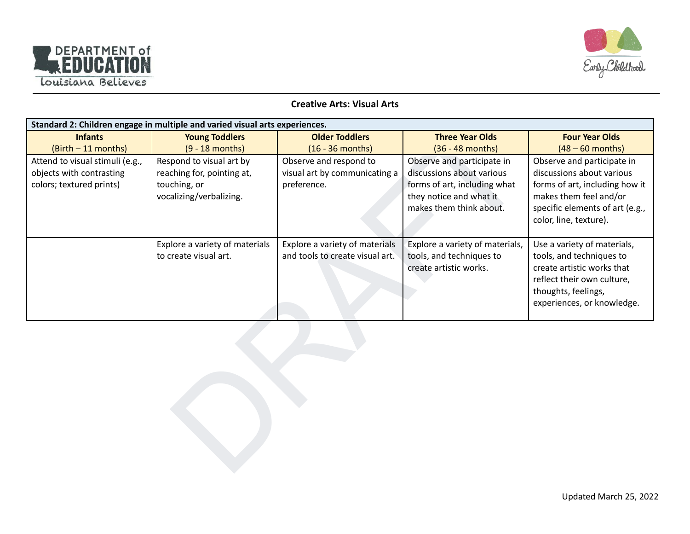



## **Creative Arts: Visual Arts**

| Standard 2: Children engage in multiple and varied visual arts experiences.             |                                                                                                   |                                                                        |                                                                                                                                               |                                                                                                                                                                                  |  |  |
|-----------------------------------------------------------------------------------------|---------------------------------------------------------------------------------------------------|------------------------------------------------------------------------|-----------------------------------------------------------------------------------------------------------------------------------------------|----------------------------------------------------------------------------------------------------------------------------------------------------------------------------------|--|--|
| <b>Infants</b>                                                                          | <b>Young Toddlers</b>                                                                             | <b>Older Toddlers</b>                                                  | <b>Three Year Olds</b>                                                                                                                        | <b>Four Year Olds</b>                                                                                                                                                            |  |  |
| (Birth - 11 months)                                                                     | $(9 - 18$ months)                                                                                 | $(16 - 36$ months)                                                     | (36 - 48 months)                                                                                                                              | $(48 - 60$ months)                                                                                                                                                               |  |  |
| Attend to visual stimuli (e.g.,<br>objects with contrasting<br>colors; textured prints) | Respond to visual art by<br>reaching for, pointing at,<br>touching, or<br>vocalizing/verbalizing. | Observe and respond to<br>visual art by communicating a<br>preference. | Observe and participate in<br>discussions about various<br>forms of art, including what<br>they notice and what it<br>makes them think about. | Observe and participate in<br>discussions about various<br>forms of art, including how it<br>makes them feel and/or<br>specific elements of art (e.g.,<br>color, line, texture). |  |  |
|                                                                                         | Explore a variety of materials<br>to create visual art.                                           | Explore a variety of materials<br>and tools to create visual art.      | Explore a variety of materials,<br>tools, and techniques to<br>create artistic works.                                                         | Use a variety of materials,<br>tools, and techniques to<br>create artistic works that<br>reflect their own culture,<br>thoughts, feelings,<br>experiences, or knowledge.         |  |  |
|                                                                                         |                                                                                                   |                                                                        |                                                                                                                                               |                                                                                                                                                                                  |  |  |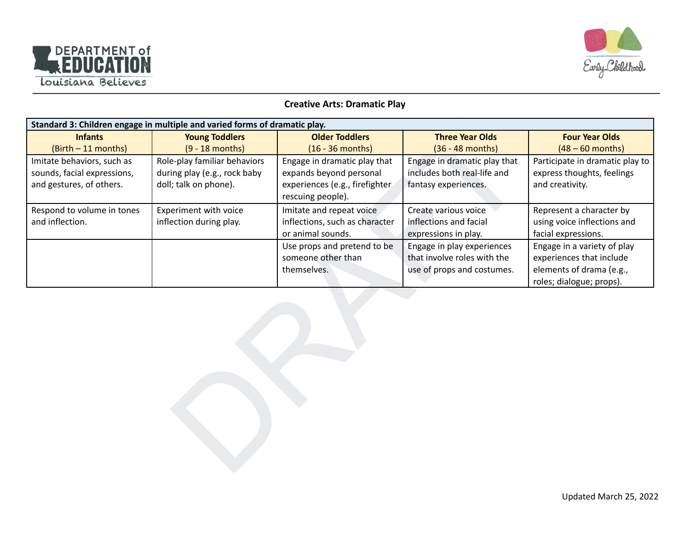



### **Creative Arts: Dramatic Play**

| Standard 3: Children engage in multiple and varied forms of dramatic play. |                              |                                |                              |                                 |  |  |
|----------------------------------------------------------------------------|------------------------------|--------------------------------|------------------------------|---------------------------------|--|--|
| <b>Infants</b>                                                             | <b>Young Toddlers</b>        | <b>Older Toddlers</b>          | <b>Three Year Olds</b>       | <b>Four Year Olds</b>           |  |  |
| (Birth - 11 months)                                                        | $(9 - 18$ months)            | $(16 - 36$ months)             | (36 - 48 months)             | $(48 - 60$ months)              |  |  |
| Imitate behaviors, such as                                                 | Role-play familiar behaviors | Engage in dramatic play that   | Engage in dramatic play that | Participate in dramatic play to |  |  |
| sounds, facial expressions,                                                | during play (e.g., rock baby | expands beyond personal        | includes both real-life and  | express thoughts, feelings      |  |  |
| and gestures, of others.                                                   | doll; talk on phone).        | experiences (e.g., firefighter | fantasy experiences.         | and creativity.                 |  |  |
|                                                                            |                              | rescuing people).              |                              |                                 |  |  |
| Respond to volume in tones                                                 | Experiment with voice        | Imitate and repeat voice       | Create various voice         | Represent a character by        |  |  |
| and inflection.                                                            | inflection during play.      | inflections, such as character | inflections and facial       | using voice inflections and     |  |  |
|                                                                            |                              | or animal sounds.              | expressions in play.         | facial expressions.             |  |  |
|                                                                            |                              | Use props and pretend to be    | Engage in play experiences   | Engage in a variety of play     |  |  |
|                                                                            |                              | someone other than             | that involve roles with the  | experiences that include        |  |  |
|                                                                            |                              | themselves.                    | use of props and costumes.   | elements of drama (e.g.,        |  |  |
|                                                                            |                              |                                |                              | roles; dialogue; props).        |  |  |
|                                                                            |                              |                                |                              |                                 |  |  |
|                                                                            |                              |                                |                              |                                 |  |  |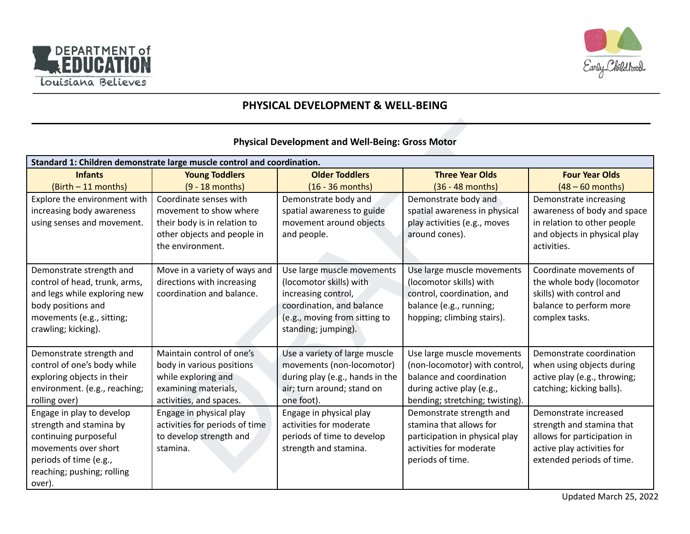



# **PHYSICAL DEVELOPMENT & WELL-BEING**

#### **Physical Development and Well-Being: Gross Motor**

|                                                                         |                                | <b>Physical Development and Well-Being: Gross Motor</b> |                                 |                              |  |
|-------------------------------------------------------------------------|--------------------------------|---------------------------------------------------------|---------------------------------|------------------------------|--|
| Standard 1: Children demonstrate large muscle control and coordination. |                                |                                                         |                                 |                              |  |
| <b>Infants</b>                                                          | <b>Young Toddlers</b>          | <b>Older Toddlers</b>                                   | <b>Three Year Olds</b>          | <b>Four Year Olds</b>        |  |
| $(l)$ (Birth $-11$ months)                                              | $(9 - 18$ months)              | $(16 - 36$ months)                                      | (36 - 48 months)                | $(48 - 60$ months)           |  |
| Explore the environment with                                            | Coordinate senses with         | Demonstrate body and                                    | Demonstrate body and            | Demonstrate increasing       |  |
| increasing body awareness                                               | movement to show where         | spatial awareness to guide                              | spatial awareness in physical   | awareness of body and space  |  |
| using senses and movement.                                              | their body is in relation to   | movement around objects                                 | play activities (e.g., moves    | in relation to other people  |  |
|                                                                         | other objects and people in    | and people.                                             | around cones).                  | and objects in physical play |  |
|                                                                         | the environment.               |                                                         |                                 | activities.                  |  |
|                                                                         |                                |                                                         |                                 |                              |  |
| Demonstrate strength and                                                | Move in a variety of ways and  | Use large muscle movements                              | Use large muscle movements      | Coordinate movements of      |  |
| control of head, trunk, arms,                                           | directions with increasing     | (locomotor skills) with                                 | (locomotor skills) with         | the whole body (locomotor    |  |
| and legs while exploring new                                            | coordination and balance.      | increasing control,                                     | control, coordination, and      | skills) with control and     |  |
| body positions and                                                      |                                | coordination, and balance                               | balance (e.g., running;         | balance to perform more      |  |
| movements (e.g., sitting;                                               |                                | (e.g., moving from sitting to                           | hopping; climbing stairs).      | complex tasks.               |  |
| crawling; kicking).                                                     |                                | standing; jumping).                                     |                                 |                              |  |
|                                                                         |                                |                                                         |                                 |                              |  |
| Demonstrate strength and                                                | Maintain control of one's      | Use a variety of large muscle                           | Use large muscle movements      | Demonstrate coordination     |  |
| control of one's body while                                             | body in various positions      | movements (non-locomotor)                               | (non-locomotor) with control,   | when using objects during    |  |
| exploring objects in their                                              | while exploring and            | during play (e.g., hands in the                         | balance and coordination        | active play (e.g., throwing; |  |
| environment. (e.g., reaching;                                           | examining materials,           | air; turn around; stand on                              | during active play (e.g.,       | catching; kicking balls).    |  |
| rolling over)                                                           | activities, and spaces.        | one foot).                                              | bending; stretching; twisting). |                              |  |
| Engage in play to develop                                               | Engage in physical play        | Engage in physical play                                 | Demonstrate strength and        | Demonstrate increased        |  |
| strength and stamina by                                                 | activities for periods of time | activities for moderate                                 | stamina that allows for         | strength and stamina that    |  |
| continuing purposeful                                                   | to develop strength and        | periods of time to develop                              | participation in physical play  | allows for participation in  |  |
| movements over short                                                    | stamina.                       | strength and stamina.                                   | activities for moderate         | active play activities for   |  |
| periods of time (e.g.,                                                  |                                |                                                         | periods of time.                | extended periods of time.    |  |
| reaching; pushing; rolling                                              |                                |                                                         |                                 |                              |  |
| over).                                                                  |                                |                                                         |                                 |                              |  |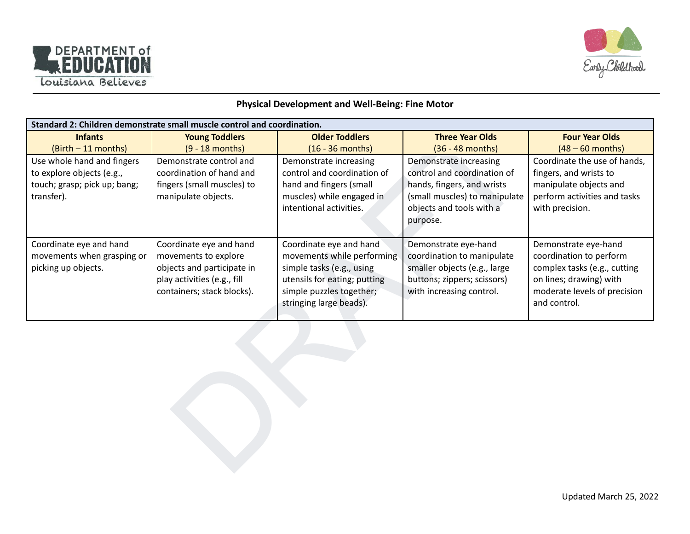



### **Physical Development and Well-Being: Fine Motor**

| Standard 2: Children demonstrate small muscle control and coordination. |                                                    |                                                         |                                                             |                                                         |  |
|-------------------------------------------------------------------------|----------------------------------------------------|---------------------------------------------------------|-------------------------------------------------------------|---------------------------------------------------------|--|
| <b>Infants</b>                                                          | <b>Young Toddlers</b>                              | <b>Older Toddlers</b>                                   | <b>Three Year Olds</b>                                      | <b>Four Year Olds</b>                                   |  |
| (Birth - 11 months)                                                     | $(9 - 18$ months)                                  | $(16 - 36$ months)                                      | (36 - 48 months)                                            | $(48 - 60$ months)                                      |  |
| Use whole hand and fingers                                              | Demonstrate control and                            | Demonstrate increasing                                  | Demonstrate increasing                                      | Coordinate the use of hands,                            |  |
| to explore objects (e.g.,                                               | coordination of hand and                           | control and coordination of                             | control and coordination of                                 | fingers, and wrists to                                  |  |
| touch; grasp; pick up; bang;                                            | fingers (small muscles) to                         | hand and fingers (small                                 | hands, fingers, and wrists                                  | manipulate objects and                                  |  |
| transfer).                                                              | manipulate objects.                                | muscles) while engaged in                               | (small muscles) to manipulate                               | perform activities and tasks                            |  |
|                                                                         |                                                    | intentional activities.                                 | objects and tools with a                                    | with precision.                                         |  |
|                                                                         |                                                    |                                                         | purpose.                                                    |                                                         |  |
|                                                                         |                                                    |                                                         |                                                             |                                                         |  |
| Coordinate eye and hand                                                 | Coordinate eye and hand                            | Coordinate eye and hand                                 | Demonstrate eye-hand                                        | Demonstrate eye-hand                                    |  |
| movements when grasping or<br>picking up objects.                       | movements to explore<br>objects and participate in | movements while performing<br>simple tasks (e.g., using | coordination to manipulate                                  | coordination to perform<br>complex tasks (e.g., cutting |  |
|                                                                         | play activities (e.g., fill                        | utensils for eating; putting                            | smaller objects (e.g., large<br>buttons; zippers; scissors) | on lines; drawing) with                                 |  |
|                                                                         | containers; stack blocks).                         | simple puzzles together;                                | with increasing control.                                    | moderate levels of precision                            |  |
|                                                                         |                                                    | stringing large beads).                                 |                                                             | and control.                                            |  |
|                                                                         |                                                    |                                                         |                                                             |                                                         |  |
|                                                                         |                                                    |                                                         |                                                             |                                                         |  |